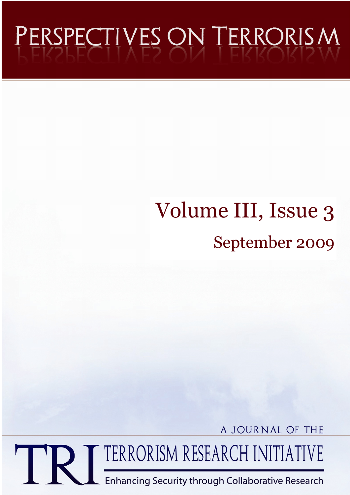# PERSPECTIVES ON TERRORISM

# Volume III, Issue 3 September 2009

A JOURNAL OF THE

TERRORISM RESEARCH INITIATIVE

**Enhancing Security through Collaborative Research**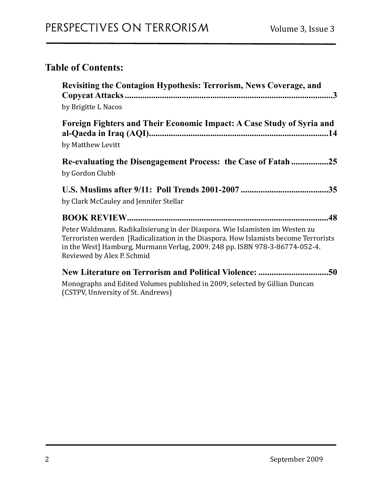# **Table of Contents:**

| <b>Revisiting the Contagion Hypothesis: Terrorism, News Coverage, and</b><br>by Brigitte L Nacos                                                                                                                                                                                 |
|----------------------------------------------------------------------------------------------------------------------------------------------------------------------------------------------------------------------------------------------------------------------------------|
| Foreign Fighters and Their Economic Impact: A Case Study of Syria and<br>by Matthew Levitt                                                                                                                                                                                       |
| Re-evaluating the Disengagement Process: the Case of Fatah25<br>by Gordon Clubb                                                                                                                                                                                                  |
| by Clark McCauley and Jennifer Stellar                                                                                                                                                                                                                                           |
| Peter Waldmann. Radikalisierung in der Diaspora. Wie Islamisten im Westen zu<br>Terroristen werden [Radicalization in the Diaspora. How Islamists become Terrorists<br>in the West] Hamburg, Murmann Verlag, 2009. 248 pp. ISBN 978-3-86774-052-4.<br>Reviewed by Alex P. Schmid |
| Monographs and Edited Volumes published in 2009, selected by Gillian Duncan<br>(CSTPV, University of St. Andrews)                                                                                                                                                                |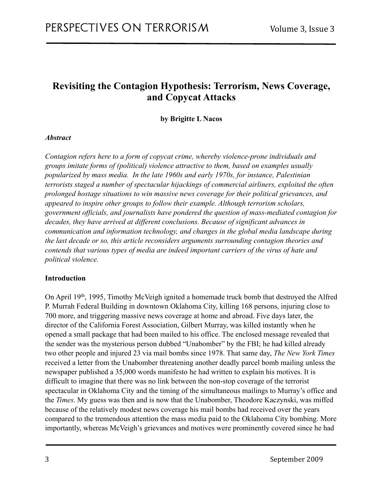# <span id="page-2-0"></span>**Revisiting the Contagion Hypothesis: Terrorism, News Coverage, and Copycat Attacks**

#### <span id="page-2-1"></span>**by Brigitte L Nacos**

#### *Abstract*

*Contagion refers here to a form of copycat crime, whereby violence-prone individuals and groups imitate forms of (political) violence attractive to them, based on examples usually popularized by mass media. In the late 1960s and early 1970s, for instance, Palestinian terrorists staged a number of spectacular hijackings of commercial airliners, exploited the often prolonged hostage situations to win massive news coverage for their political grievances, and appeared to inspire other groups to follow their example. Although terrorism scholars, government officials, and journalists have pondered the question of mass-mediated contagion for decades, they have arrived at different conclusions. Because of significant advances in communication and information technology, and changes in the global media landscape during the last decade or so, this article reconsiders arguments surrounding contagion theories and contends that various types of media are indeed important carriers of the virus of hate and political violence.* 

#### **Introduction**

On April 19th, 1995, Timothy McVeigh ignited a homemade truck bomb that destroyed the Alfred P. Murrah Federal Building in downtown Oklahoma City, killing 168 persons, injuring close to 700 more, and triggering massive news coverage at home and abroad. Five days later, the director of the California Forest Association, Gilbert Murray, was killed instantly when he opened a small package that had been mailed to his office. The enclosed message revealed that the sender was the mysterious person dubbed "Unabomber" by the FBI; he had killed already two other people and injured 23 via mail bombs since 1978. That same day, *The New York Times* received a letter from the Unabomber threatening another deadly parcel bomb mailing unless the newspaper published a 35,000 words manifesto he had written to explain his motives. It is difficult to imagine that there was no link between the non-stop coverage of the terrorist spectacular in Oklahoma City and the timing of the simultaneous mailings to Murray's office and the *Times*. My guess was then and is now that the Unabomber, Theodore Kaczynski, was miffed because of the relatively modest news coverage his mail bombs had received over the years compared to the tremendous attention the mass media paid to the Oklahoma City bombing. More importantly, whereas McVeigh's grievances and motives were prominently covered since he had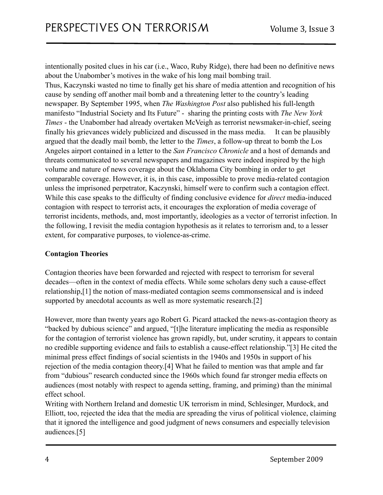intentionally posited clues in his car (i.e., Waco, Ruby Ridge), there had been no definitive news about the Unabomber's motives in the wake of his long mail bombing trail.

Thus, Kaczynski wasted no time to finally get his share of media attention and recognition of his cause by sending off another mail bomb and a threatening letter to the country's leading newspaper. By September 1995, when *The Washington Post* also published his full-length manifesto "Industrial Society and Its Future" - sharing the printing costs with *The New York Times* - the Unabomber had already overtaken McVeigh as terrorist newsmaker-in-chief, seeing finally his grievances widely publicized and discussed in the mass media. It can be plausibly argued that the deadly mail bomb, the letter to the *Times*, a follow-up threat to bomb the Los Angeles airport contained in a letter to the *San Francisco Chronicle* and a host of demands and threats communicated to several newspapers and magazines were indeed inspired by the high volume and nature of news coverage about the Oklahoma City bombing in order to get comparable coverage. However, it is, in this case, impossible to prove media-related contagion unless the imprisoned perpetrator, Kaczynski, himself were to confirm such a contagion effect. While this case speaks to the difficulty of finding conclusive evidence for *direct* media-induced contagion with respect to terrorist acts, it encourages the exploration of media coverage of terrorist incidents, methods, and, most importantly, ideologies as a vector of terrorist infection. In the following, I revisit the media contagion hypothesis as it relates to terrorism and, to a lesser extent, for comparative purposes, to violence-as-crime.

#### **Contagion Theories**

Contagion theories have been forwarded and rejected with respect to terrorism for several decades—often in the context of media effects. While some scholars deny such a cause-effect relationship,[1] the notion of mass-mediated contagion seems commonsensical and is indeed supported by anecdotal accounts as well as more systematic research.[2]

However, more than twenty years ago Robert G. Picard attacked the news-as-contagion theory as "backed by dubious science" and argued, "[t]he literature implicating the media as responsible for the contagion of terrorist violence has grown rapidly, but, under scrutiny, it appears to contain no credible supporting evidence and fails to establish a cause-effect relationship."[3] He cited the minimal press effect findings of social scientists in the 1940s and 1950s in support of his rejection of the media contagion theory.[4] What he failed to mention was that ample and far from "dubious" research conducted since the 1960s which found far stronger media effects on audiences (most notably with respect to agenda setting, framing, and priming) than the minimal effect school.

Writing with Northern Ireland and domestic UK terrorism in mind, Schlesinger, Murdock, and Elliott, too, rejected the idea that the media are spreading the virus of political violence, claiming that it ignored the intelligence and good judgment of news consumers and especially television audiences.[5]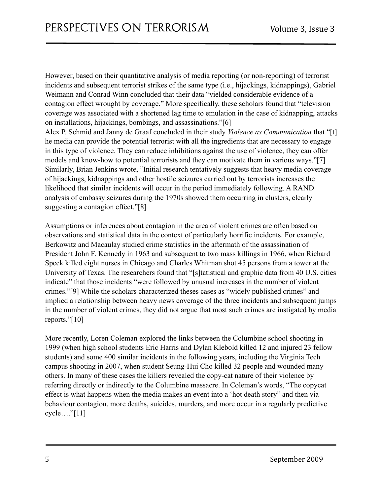However, based on their quantitative analysis of media reporting (or non-reporting) of terrorist incidents and subsequent terrorist strikes of the same type (i.e., hijackings, kidnappings), Gabriel Weimann and Conrad Winn concluded that their data "yielded considerable evidence of a contagion effect wrought by coverage." More specifically, these scholars found that "television coverage was associated with a shortened lag time to emulation in the case of kidnapping, attacks on installations, hijackings, bombings, and assassinations."[6]

Alex P. Schmid and Janny de Graaf concluded in their study *Violence as Communication* that "[t] he media can provide the potential terrorist with all the ingredients that are necessary to engage in this type of violence. They can reduce inhibitions against the use of violence, they can offer models and know-how to potential terrorists and they can motivate them in various ways."[7] Similarly, Brian Jenkins wrote, "Initial research tentatively suggests that heavy media coverage of hijackings, kidnappings and other hostile seizures carried out by terrorists increases the likelihood that similar incidents will occur in the period immediately following. A RAND analysis of embassy seizures during the 1970s showed them occurring in clusters, clearly suggesting a contagion effect."[8]

Assumptions or inferences about contagion in the area of violent crimes are often based on observations and statistical data in the context of particularly horrific incidents. For example, Berkowitz and Macaulay studied crime statistics in the aftermath of the assassination of President John F. Kennedy in 1963 and subsequent to two mass killings in 1966, when Richard Speck killed eight nurses in Chicago and Charles Whitman shot 45 persons from a tower at the University of Texas. The researchers found that "[s]tatistical and graphic data from 40 U.S. cities indicate" that those incidents "were followed by unusual increases in the number of violent crimes."[9] While the scholars characterized theses cases as "widely published crimes" and implied a relationship between heavy news coverage of the three incidents and subsequent jumps in the number of violent crimes, they did not argue that most such crimes are instigated by media reports."[10]

More recently, Loren Coleman explored the links between the Columbine school shooting in 1999 (when high school students Eric Harris and Dylan Klebold killed 12 and injured 23 fellow students) and some 400 similar incidents in the following years, including the Virginia Tech campus shooting in 2007, when student Seung-Hui Cho killed 32 people and wounded many others. In many of these cases the killers revealed the copy-cat nature of their violence by referring directly or indirectly to the Columbine massacre. In Coleman's words, "The copycat effect is what happens when the media makes an event into a 'hot death story" and then via behaviour contagion, more deaths, suicides, murders, and more occur in a regularly predictive cycle…."[11]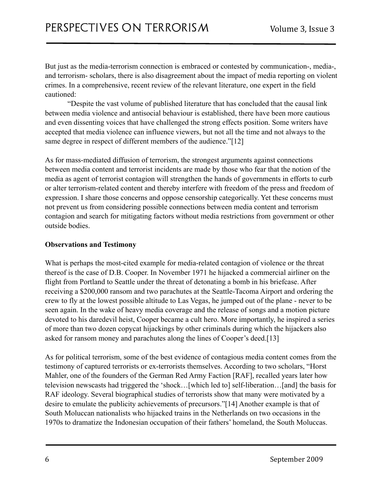But just as the media-terrorism connection is embraced or contested by communication-, media-, and terrorism- scholars, there is also disagreement about the impact of media reporting on violent crimes. In a comprehensive, recent review of the relevant literature, one expert in the field cautioned:

 "Despite the vast volume of published literature that has concluded that the causal link between media violence and antisocial behaviour is established, there have been more cautious and even dissenting voices that have challenged the strong effects position. Some writers have accepted that media violence can influence viewers, but not all the time and not always to the same degree in respect of different members of the audience."[12]

As for mass-mediated diffusion of terrorism, the strongest arguments against connections between media content and terrorist incidents are made by those who fear that the notion of the media as agent of terrorist contagion will strengthen the hands of governments in efforts to curb or alter terrorism-related content and thereby interfere with freedom of the press and freedom of expression. I share those concerns and oppose censorship categorically. Yet these concerns must not prevent us from considering possible connections between media content and terrorism contagion and search for mitigating factors without media restrictions from government or other outside bodies.

#### **Observations and Testimony**

What is perhaps the most-cited example for media-related contagion of violence or the threat thereof is the case of D.B. Cooper. In November 1971 he hijacked a commercial airliner on the flight from Portland to Seattle under the threat of detonating a bomb in his briefcase. After receiving a \$200,000 ransom and two parachutes at the Seattle-Tacoma Airport and ordering the crew to fly at the lowest possible altitude to Las Vegas, he jumped out of the plane - never to be seen again. In the wake of heavy media coverage and the release of songs and a motion picture devoted to his daredevil heist, Cooper became a cult hero. More importantly, he inspired a series of more than two dozen copycat hijackings by other criminals during which the hijackers also asked for ransom money and parachutes along the lines of Cooper's deed.[13]

As for political terrorism, some of the best evidence of contagious media content comes from the testimony of captured terrorists or ex-terrorists themselves. According to two scholars, "Horst Mahler, one of the founders of the German Red Army Faction [RAF], recalled years later how television newscasts had triggered the 'shock…[which led to] self-liberation…[and] the basis for RAF ideology. Several biographical studies of terrorists show that many were motivated by a desire to emulate the publicity achievements of precursors."[14] Another example is that of South Moluccan nationalists who hijacked trains in the Netherlands on two occasions in the 1970s to dramatize the Indonesian occupation of their fathers' homeland, the South Moluccas.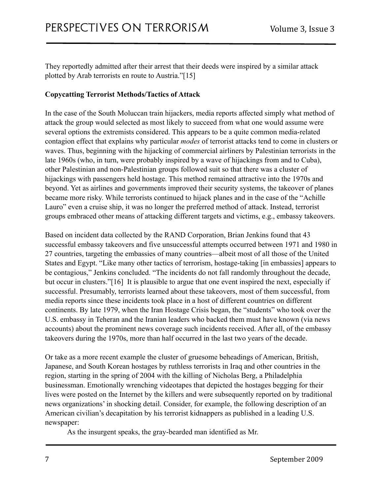They reportedly admitted after their arrest that their deeds were inspired by a similar attack plotted by Arab terrorists en route to Austria."[15]

#### **Copycatting Terrorist Methods/Tactics of Attack**

In the case of the South Moluccan train hijackers, media reports affected simply what method of attack the group would selected as most likely to succeed from what one would assume were several options the extremists considered. This appears to be a quite common media-related contagion effect that explains why particular *modes* of terrorist attacks tend to come in clusters or waves. Thus, beginning with the hijacking of commercial airliners by Palestinian terrorists in the late 1960s (who, in turn, were probably inspired by a wave of hijackings from and to Cuba), other Palestinian and non-Palestinian groups followed suit so that there was a cluster of hijackings with passengers held hostage. This method remained attractive into the 1970s and beyond. Yet as airlines and governments improved their security systems, the takeover of planes became more risky. While terrorists continued to hijack planes and in the case of the "Achille Lauro" even a cruise ship, it was no longer the preferred method of attack. Instead, terrorist groups embraced other means of attacking different targets and victims, e.g., embassy takeovers.

Based on incident data collected by the RAND Corporation, Brian Jenkins found that 43 successful embassy takeovers and five unsuccessful attempts occurred between 1971 and 1980 in 27 countries, targeting the embassies of many countries—albeit most of all those of the United States and Egypt. "Like many other tactics of terrorism, hostage-taking [in embassies] appears to be contagious," Jenkins concluded. "The incidents do not fall randomly throughout the decade, but occur in clusters."[16] It is plausible to argue that one event inspired the next, especially if successful. Presumably, terrorists learned about these takeovers, most of them successful, from media reports since these incidents took place in a host of different countries on different continents. By late 1979, when the Iran Hostage Crisis began, the "students" who took over the U.S. embassy in Teheran and the Iranian leaders who backed them must have known (via news accounts) about the prominent news coverage such incidents received. After all, of the embassy takeovers during the 1970s, more than half occurred in the last two years of the decade.

Or take as a more recent example the cluster of gruesome beheadings of American, British, Japanese, and South Korean hostages by ruthless terrorists in Iraq and other countries in the region, starting in the spring of 2004 with the killing of Nicholas Berg, a Philadelphia businessman. Emotionally wrenching videotapes that depicted the hostages begging for their lives were posted on the Internet by the killers and were subsequently reported on by traditional news organizations' in shocking detail. Consider, for example, the following description of an American civilian's decapitation by his terrorist kidnappers as published in a leading U.S. newspaper:

As the insurgent speaks, the gray-bearded man identified as Mr.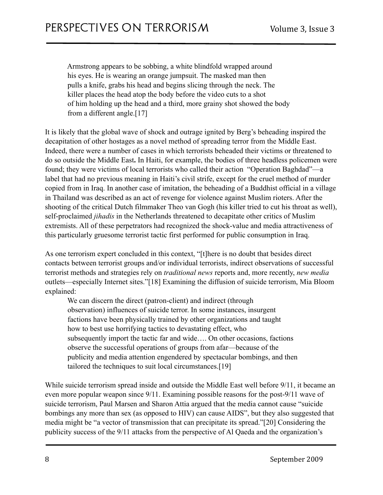Armstrong appears to be sobbing, a white blindfold wrapped around his eyes. He is wearing an orange jumpsuit. The masked man then pulls a knife, grabs his head and begins slicing through the neck. The killer places the head atop the body before the video cuts to a shot of him holding up the head and a third, more grainy shot showed the body from a different angle.[17]

It is likely that the global wave of shock and outrage ignited by Berg's beheading inspired the decapitation of other hostages as a novel method of spreading terror from the Middle East. Indeed, there were a number of cases in which terrorists beheaded their victims or threatened to do so outside the Middle East**.** In Haiti, for example, the bodies of three headless policemen were found; they were victims of local terrorists who called their action "Operation Baghdad"—a label that had no previous meaning in Haiti's civil strife, except for the cruel method of murder copied from in Iraq. In another case of imitation, the beheading of a Buddhist official in a village in Thailand was described as an act of revenge for violence against Muslim rioters. After the shooting of the critical Dutch filmmaker Theo van Gogh (his killer tried to cut his throat as well), self-proclaimed *jihadis* in the Netherlands threatened to decapitate other critics of Muslim extremists. All of these perpetrators had recognized the shock-value and media attractiveness of this particularly gruesome terrorist tactic first performed for public consumption in Iraq.

As one terrorism expert concluded in this context, "[t]here is no doubt that besides direct contacts between terrorist groups and/or individual terrorists, indirect observations of successful terrorist methods and strategies rely on *traditional news* reports and, more recently, *new media* outlets—especially Internet sites."[18] Examining the diffusion of suicide terrorism, Mia Bloom explained:

 We can discern the direct (patron-client) and indirect (through observation) influences of suicide terror. In some instances, insurgent factions have been physically trained by other organizations and taught how to best use horrifying tactics to devastating effect, who subsequently import the tactic far and wide…. On other occasions, factions observe the successful operations of groups from afar—because of the publicity and media attention engendered by spectacular bombings, and then tailored the techniques to suit local circumstances.[19]

While suicide terrorism spread inside and outside the Middle East well before 9/11, it became an even more popular weapon since 9/11. Examining possible reasons for the post-9/11 wave of suicide terrorism, Paul Marsen and Sharon Attia argued that the media cannot cause "suicide bombings any more than sex (as opposed to HIV) can cause AIDS", but they also suggested that media might be "a vector of transmission that can precipitate its spread."[20] Considering the publicity success of the 9/11 attacks from the perspective of Al Qaeda and the organization's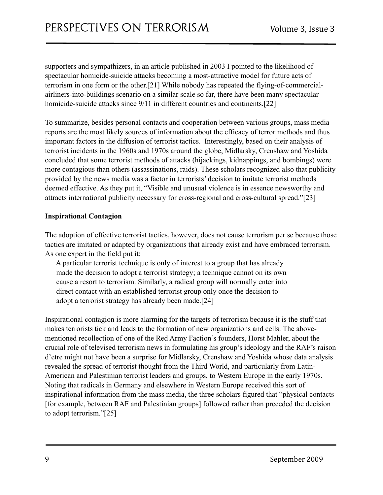supporters and sympathizers, in an article published in 2003 I pointed to the likelihood of spectacular homicide-suicide attacks becoming a most-attractive model for future acts of terrorism in one form or the other.[21] While nobody has repeated the flying-of-commercialairliners-into-buildings scenario on a similar scale so far, there have been many spectacular homicide-suicide attacks since 9/11 in different countries and continents.[22]

To summarize, besides personal contacts and cooperation between various groups, mass media reports are the most likely sources of information about the efficacy of terror methods and thus important factors in the diffusion of terrorist tactics. Interestingly, based on their analysis of terrorist incidents in the 1960s and 1970s around the globe, Midlarsky, Crenshaw and Yoshida concluded that some terrorist methods of attacks (hijackings, kidnappings, and bombings) were more contagious than others (assassinations, raids). These scholars recognized also that publicity provided by the news media was a factor in terrorists' decision to imitate terrorist methods deemed effective. As they put it, "Visible and unusual violence is in essence newsworthy and attracts international publicity necessary for cross-regional and cross-cultural spread."[23]

#### **Inspirational Contagion**

The adoption of effective terrorist tactics, however, does not cause terrorism per se because those tactics are imitated or adapted by organizations that already exist and have embraced terrorism. As one expert in the field put it:

 A particular terrorist technique is only of interest to a group that has already made the decision to adopt a terrorist strategy; a technique cannot on its own cause a resort to terrorism. Similarly, a radical group will normally enter into direct contact with an established terrorist group only once the decision to adopt a terrorist strategy has already been made.[24]

Inspirational contagion is more alarming for the targets of terrorism because it is the stuff that makes terrorists tick and leads to the formation of new organizations and cells. The abovementioned recollection of one of the Red Army Faction's founders, Horst Mahler, about the crucial role of televised terrorism news in formulating his group's ideology and the RAF's raison d'etre might not have been a surprise for Midlarsky, Crenshaw and Yoshida whose data analysis revealed the spread of terrorist thought from the Third World, and particularly from Latin-American and Palestinian terrorist leaders and groups, to Western Europe in the early 1970s. Noting that radicals in Germany and elsewhere in Western Europe received this sort of inspirational information from the mass media, the three scholars figured that "physical contacts [for example, between RAF and Palestinian groups] followed rather than preceded the decision to adopt terrorism."[25]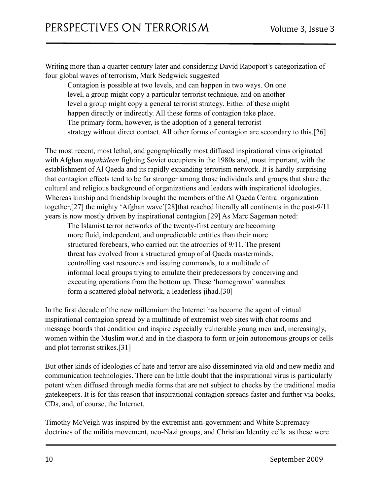Writing more than a quarter century later and considering David Rapoport's categorization of four global waves of terrorism, Mark Sedgwick suggested

 Contagion is possible at two levels, and can happen in two ways. On one level, a group might copy a particular terrorist technique, and on another level a group might copy a general terrorist strategy. Either of these might happen directly or indirectly. All these forms of contagion take place. The primary form, however, is the adoption of a general terrorist strategy without direct contact. All other forms of contagion are secondary to this.[26]

The most recent, most lethal, and geographically most diffused inspirational virus originated with Afghan *mujahideen* fighting Soviet occupiers in the 1980s and, most important, with the establishment of Al Qaeda and its rapidly expanding terrorism network. It is hardly surprising that contagion effects tend to be far stronger among those individuals and groups that share the cultural and religious background of organizations and leaders with inspirational ideologies. Whereas kinship and friendship brought the members of the Al Qaeda Central organization together,[27] the mighty 'Afghan wave'[28]that reached literally all continents in the post-9/11 years is now mostly driven by inspirational contagion.[29] As Marc Sageman noted:

 The Islamist terror networks of the twenty-first century are becoming more fluid, independent, and unpredictable entities than their more structured forebears, who carried out the atrocities of 9/11. The present threat has evolved from a structured group of al Qaeda masterminds, controlling vast resources and issuing commands, to a multitude of informal local groups trying to emulate their predecessors by conceiving and executing operations from the bottom up. These 'homegrown' wannabes form a scattered global network, a leaderless jihad.[30]

In the first decade of the new millennium the Internet has become the agent of virtual inspirational contagion spread by a multitude of extremist web sites with chat rooms and message boards that condition and inspire especially vulnerable young men and, increasingly, women within the Muslim world and in the diaspora to form or join autonomous groups or cells and plot terrorist strikes.[31]

But other kinds of ideologies of hate and terror are also disseminated via old and new media and communication technologies. There can be little doubt that the inspirational virus is particularly potent when diffused through media forms that are not subject to checks by the traditional media gatekeepers. It is for this reason that inspirational contagion spreads faster and further via books, CDs, and, of course, the Internet.

Timothy McVeigh was inspired by the extremist anti-government and White Supremacy doctrines of the militia movement, neo-Nazi groups, and Christian Identity cells as these were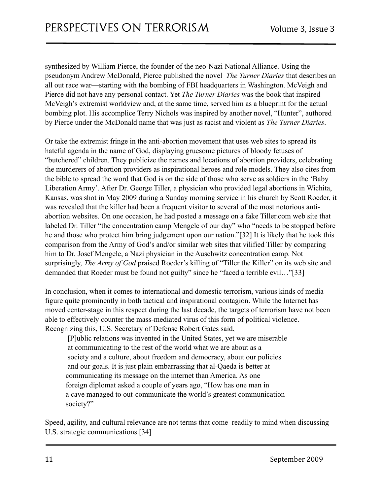synthesized by William Pierce, the founder of the neo-Nazi National Alliance. Using the pseudonym Andrew McDonald, Pierce published the novel *The Turner Diaries* that describes an all out race war—starting with the bombing of FBI headquarters in Washington. McVeigh and Pierce did not have any personal contact. Yet *The Turner Diaries* was the book that inspired McVeigh's extremist worldview and, at the same time, served him as a blueprint for the actual bombing plot. His accomplice Terry Nichols was inspired by another novel, "Hunter", authored by Pierce under the McDonald name that was just as racist and violent as *The Turner Diaries*.

Or take the extremist fringe in the anti-abortion movement that uses web sites to spread its hateful agenda in the name of God, displaying gruesome pictures of bloody fetuses of "butchered" children. They publicize the names and locations of abortion providers, celebrating the murderers of abortion providers as inspirational heroes and role models. They also cites from the bible to spread the word that God is on the side of those who serve as soldiers in the 'Baby Liberation Army'. After Dr. George Tiller, a physician who provided legal abortions in Wichita, Kansas, was shot in May 2009 during a Sunday morning service in his church by Scott Roeder, it was revealed that the killer had been a frequent visitor to several of the most notorious antiabortion websites. On one occasion, he had posted a message on a fake Tiller.com web site that labeled Dr. Tiller "the concentration camp Mengele of our day" who "needs to be stopped before he and those who protect him bring judgement upon our nation."[32] It is likely that he took this comparison from the Army of God's and/or similar web sites that vilified Tiller by comparing him to Dr. Josef Mengele, a Nazi physician in the Auschwitz concentration camp. Not surprisingly, *The Army of God* praised Roeder's killing of "Tiller the Killer" on its web site and demanded that Roeder must be found not guilty" since he "faced a terrible evil…"[33]

In conclusion, when it comes to international and domestic terrorism, various kinds of media figure quite prominently in both tactical and inspirational contagion. While the Internet has moved center-stage in this respect during the last decade, the targets of terrorism have not been able to effectively counter the mass-mediated virus of this form of political violence. Recognizing this, U.S. Secretary of Defense Robert Gates said,

 [P]ublic relations was invented in the United States, yet we are miserable at communicating to the rest of the world what we are about as a society and a culture, about freedom and democracy, about our policies and our goals. It is just plain embarrassing that al-Qaeda is better at communicating its message on the internet than America. As one foreign diplomat asked a couple of years ago, "How has one man in a cave managed to out-communicate the world's greatest communication society?"

Speed, agility, and cultural relevance are not terms that come readily to mind when discussing U.S. strategic communications.[34]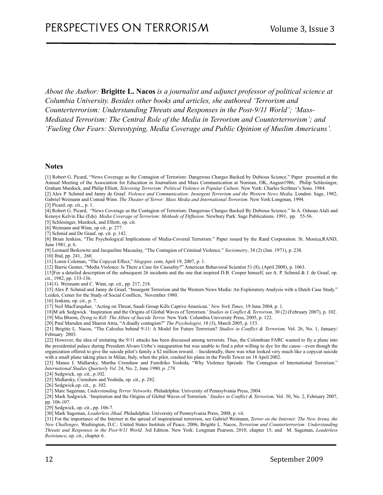*About the Author:* **Brigitte L. Nacos** *is a journalist and adjunct professor of political science at Columbia University. Besides other books and articles, she authored 'Terrorism and Counterterrorism: Understanding Threats and Responses in the Post-9/11 World'; 'Mass-Mediated Terrorism: The Central Role of the Media in Terrorism and Counterterrorism'; and 'Fueling Our Fears: Stereotyping, Media Coverage and Public Opinion of Muslim Americans'.* 

#### **Notes**

[1] Robert G. Picard, "News Coverage as the Contagion of Terrorism: Dangerous Charges Backed by Dubious Science." Paper presented at the Annual Meeting of the Association for Education in Journalism and Mass Communication at Norman, OK, August1986; Philip Schlesinger, Graham Murdock, and Philip Elliott, *Televising Terrorism: Political Violence in Popular Culture.* New York: Charles Scribner's Sons. 1984. [2] Alex P. Schmid and Janny de Graaf. *Violence and Communication: Insurgent Terrorism and the Western News Media*. London: Sage, 1982; Gabriel Weimann and Conrad Winn. *The Theater of Terror: Mass Media and International Terrorism.* New York:Longman, 1994.

#### [3] Picard, op. cit.,, p. 1.

[4] Robert G. Picard, "News Coverage as the Contagion of Terrorism: Dangerous Charges Backed By Dubious Science." In A. Odasuo Alali and Kenoye Kelvin Eke (Eds). *Media Coverage of Terrorism: Methods of Diffusion*. Newbury Park: Sage Publications. 1991, pp. 55-56.

[5] Schlesinger, Murdock, and Elliott, op. cit.

[6] Weimann and Winn, op cit., p. 277.

[7] Schmid and De Graaf, op. cit. p. 142.

[8] Brian Jenkins, "The Psychological Implications of Media-Covered Terrorism." Paper issued by the Rand Corporation. St. Monica,RAND, June 1981, p. 6.

[9] Leonard Berkowitz and Jacqueline Macaulay, "The Contagion of Criminal Violence." *Sociometry*, 34 (2) (Jun. 1971), p. 238.

[10] Ibid, pp. 241, 260.

[11] Loren Coleman, "The Copycat Effect," *blogspot*. com, April 19, 2007, p. 1.

[12] Barrie Gunter, "Media Violence: Is There a Case for Causality?" American Behavioral Scientist 51 (8), (April 2008), p. 1063.

[13]For a detailed description of the subsequent 26 incidents and the one that inspired D.B. Cooper himself, see A. P. Schmid & J. de Graaf, op. cit., 1982, pp. 133-136.

[14] G. Weimann and C. Winn, op. cit., pp. 217, 218.

[15] Alex P. Schmid and Janny de Graaf, "Insurgent Terrorism and the Western News Media: An Exploratory Analysis with a Dutch Case Study." Leiden, Center for the Study of Social Conflicts, November 1980.

[16] Jenkins, op. cit., p. 7.

[17] Neil MacFarquhar, 'Acting on Threat, Saudi Group Kills Captive American.' *New York Times,* 19 June 2004, p. 1.

[18]M ark Sedgwick. 'Inspiration and the Origins of Global Waves of Terrorism.' *Studies in Conflict & Terrorism,* 30 (2) (February 2007), p. 102. [19] Mia Bloom, *Dying to Kill: The Allure of Suicide Terror.* New York: Columbia University Press, 2005, p. 122.

[20] Paul Marsden and Sharon Attia, "A deadly contagion?" *The Psychologist,* 18 (3), March 2005, p. 153. .

[21] Brigitte L. Nacos, "The Calculus behind 9-11: A Model for Future Terrorism? *Studies in Conflict & Terrorism,* Vol. 26, No. 1, January/ February 2003.

[22] However, the idea of imitating the 9/11 attacks has been discussed among terrorists. Thus, the Colombian FARC wanted to fly a plane into the presidential palace during President Alvaro Uribe's inauguration but was unable to find a pilot willing to dye for the cause—even though the organization offered to give the suicide pilot's family a \$2 million reward. – Incidentally, there was what looked very much like a copycat suicide with a small plane taking place in Milan, Italy, when the pilot, crashed his plane in the Pirelli Tower on 18 April 2002.

[23] Manus I. Midlarsky, Martha Crenshaw and Fumihiko Yoshida, "Why Violence Spreads: The Contagion of International Terrorism." *International Studies Quarterly Vol.* 24, No. 2, June 1980*, p. 279.*

[24] Sedgwick, op. cit., p.102.

[25] Midlarsky, Crenshaw and Yoshida, op. cit., p. 282.

[26] Sedgwick,op. cit., p. 102.

[27] Marc Sageman, *Understanding Terror Networks*. Philadelphia: University of Pennsylvania Press, 2004.

[28] Mark Sedgwick. 'Inspiration and the Origins of Global Waves of Terrorism.' *Studies in Conflict & Terrorism,* Vol. 30, No. 2, February 2007, pp. 106-107.

[29] Sedgwick, op. cit., pp. 106-7.

[30] Mark Sageman, *Leaderless Jihad*. Philadelphia: University of Pennsylvania Press, 2008, p. vii.

[31] For the importance of the Internet in the spread of inspirational terrorism, see Gabriel Weimann, *Terror on the Internet: The New Arena, the New Challenges*. Washington, D.C.: United States Institute of Peace, 2006; Brigitte L. Nacos, *Terrorism and Counterterrorism: Understanding Threats and Responses in the Post-9/11 World*. 3rd Edition. New York: Longman Pearson, 2010, chapter 15; and M. Sageman, *Leaderless Resistance*, op. cit., chapter 6.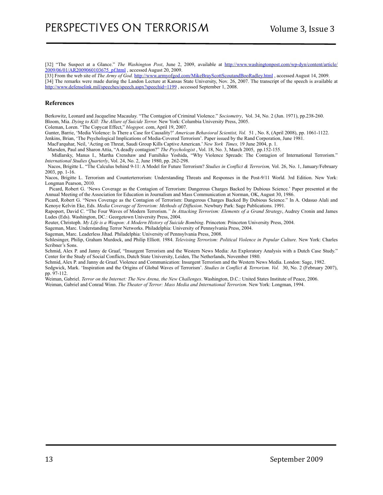[32] "The Suspect at a Glance." *The Washington Post*, June 2, 2009, available at [http://www.washingtonpost.com/wp-dyn/content/article/](http://www.washingtonpost.com/wp-dyn/content/article/2009/06/01/AR2009060103675_pf.html) [2009/06/01/AR2009060103675\\_pf.html](http://www.washingtonpost.com/wp-dyn/content/article/2009/06/01/AR2009060103675_pf.html), accessed August 20, 2009.

[33] From the web site of *The Army of God.* <http://www.armyofgod.com/MikeBrayScottScoutandBooRadley.html>, accessed August 14, 2009. [34] The remarks were made during the Landon Lecture at Kansas State University, Nov. 26, 2007. The transcript of the speech is available at http://www.defenselink.mil/speeches/speech.aspx?speechid=1199, accessed September 1, 2008.

#### **References**

Berkowitz, Leonard and Jacqueline Macaulay. "The Contagion of Criminal Violence." *Sociometry*, Vol. 34, No. 2 (Jun. 1971), pp.238-260. Bloom, Mia. *Dying to Kill: The Allure of Suicide Terror.* New York: Columbia University Press, 2005.

Coleman, Loren. "The Copycat Effect," *blogspot*. com, April 19, 2007.

Gunter, Barrie, 'Media Violence: Is There a Case for Causality?' *American Behavioral Scientist, Vol.* 51 , No. 8, (April 2008), pp. 1061-1122. Jenkins, Brian, 'The Psychological Implications of Media-Covered Terrorism'. Paper issued by the Rand Corporation, June 1981.

MacFarquhar, Neil, 'Acting on Threat, Saudi Group Kills Captive American.' *New York Times,* 19 June 2004, p. 1.

Marsden, Paul and Sharon Attia, "A deadly contagion?" *The Psychologist* , Vol. 18, No. 3, March 2005, pp.152-155.

 Midlarsky, Manus I., Martha Crenshaw and Fumihiko Yoshida, "Why Violence Spreads: The Contagion of International Terrorism." *International Studies Quarterly*, Vol. 24, No. 2, June 1980, pp. 262-298.

 Nacos, Brigitte L. "The Calculus behind 9-11: A Model for Future Terrorism? *Studies in Conflict & Terrorism,* Vol. 26, No. 1, January/February 2003, pp. 1-16.

Nacos, Brigitte L. Terrorism and Counterterrorism: Understanding Threats and Responses in the Post-9/11 World. 3rd Edition. New York: Longman Pearson, 2010.

 Picard, Robert G. 'News Coverage as the Contagion of Terrorism: Dangerous Charges Backed by Dubious Science.' Paper presented at the Annual Meeting of the Association for Education in Journalism and Mass Communication at Norman, OK, August 30, 1986.

Picard, Robert G. "News Coverage as the Contagion of Terrorism: Dangerous Charges Backed By Dubious Science." In A. Odasuo Alali and Kenoye Kelvin Eke, Eds. *Media Coverage of Terrorism: Methods of Diffusion*. Newbury Park: Sage Publications. 1991.

Rapoport, David C. "The Four Waves of Modern Terrorism*." In Attacking Terrorism: Elements of a Grand Strategy*, Audrey Cronin and James Ludes (Eds). Washington, DC.: Georgetown University Press, 2004.

Reuter, Christoph. *My Life is a Weapon: A Modern History of Suicide Bombing*. Princeton: Princeton University Press, 2004.

Sageman, Marc. Understanding Terror Networks. Philadelphia: University of Pennsylvania Press, 2004.

Sageman, Marc. Leaderless Jihad. Philadelphia: University of Pennsylvania Press, 2008.

Schlesinger, Philip, Graham Murdock, and Philip Elliott. 1984. *Televising Terrorism: Political Violence in Popular Culture.* New York: Charles Scribner's Sons.

Schmid, Alex P. and Janny de Graaf, "Insurgent Terrorism and the Western News Media: An Exploratory Analysis with a Dutch Case Study." Center for the Study of Social Conflicts, Dutch State University, Leiden, The Netherlands, November 1980.

Schmid, Alex P. and Janny de Graaf. Violence and Communication: Insurgent Terrorism and the Western News Media. London: Sage, 1982. Sedgwick, Mark. 'Inspiration and the Origins of Global Waves of Terrorism'. *Studies in Conflict & Terrorism. Vol.* 30, No. 2 (February 2007),

pp. 97-112.

Weiman, Gabriel. *Terror on the Internet: The New Arena, the New Challenges*. Washington, D.C.: United States Institute of Peace, 2006. Weiman, Gabriel and Conrad Winn. *The Theater of Terror: Mass Media and International Terrorism.* New York: Longman, 1994.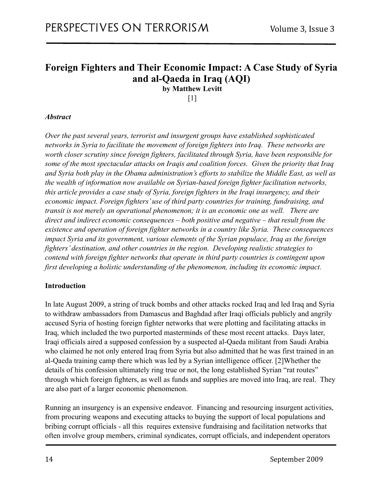# <span id="page-13-0"></span>**Foreign Fighters and Their Economic Impact: A Case Study of Syria and al-Qaeda in Iraq (AQI)**

<span id="page-13-1"></span>**by Matthew Levitt** 

 $[1]$ 

#### *Abstract*

*Over the past several years, terrorist and insurgent groups have established sophisticated networks in Syria to facilitate the movement of foreign fighters into Iraq. These networks are worth closer scrutiny since foreign fighters, facilitated through Syria, have been responsible for some of the most spectacular attacks on Iraqis and coalition forces. Given the priority that Iraq and Syria both play in the Obama administration's efforts to stabilize the Middle East, as well as the wealth of information now available on Syrian-based foreign fighter facilitation networks, this article provides a case study of Syria, foreign fighters in the Iraqi insurgency, and their economic impact. Foreign fighters' use of third party countries for training, fundraising, and transit is not merely an operational phenomenon; it is an economic one as well. There are direct and indirect economic consequences – both positive and negative – that result from the existence and operation of foreign fighter networks in a country like Syria. These consequences impact Syria and its government, various elements of the Syrian populace, Iraq as the foreign fighters' destination, and other countries in the region. Developing realistic strategies to contend with foreign fighter networks that operate in third party countries is contingent upon first developing a holistic understanding of the phenomenon, including its economic impact.* 

#### **Introduction**

In late August 2009, a string of truck bombs and other attacks rocked Iraq and led Iraq and Syria to withdraw ambassadors from Damascus and Baghdad after Iraqi officials publicly and angrily accused Syria of hosting foreign fighter networks that were plotting and facilitating attacks in Iraq, which included the two purported masterminds of these most recent attacks. Days later, Iraqi officials aired a supposed confession by a suspected al-Qaeda militant from Saudi Arabia who claimed he not only entered Iraq from Syria but also admitted that he was first trained in an al-Qaeda training camp there which was led by a Syrian intelligence officer. [2]Whether the details of his confession ultimately ring true or not, the long established Syrian "rat routes" through which foreign fighters, as well as funds and supplies are moved into Iraq, are real. They are also part of a larger economic phenomenon.

Running an insurgency is an expensive endeavor. Financing and resourcing insurgent activities, from procuring weapons and executing attacks to buying the support of local populations and bribing corrupt officials - all this requires extensive fundraising and facilitation networks that often involve group members, criminal syndicates, corrupt officials, and independent operators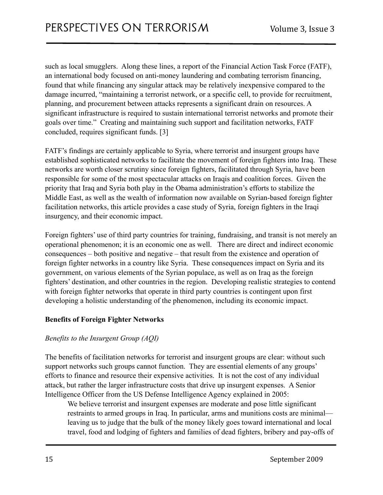such as local smugglers. Along these lines, a report of the Financial Action Task Force (FATF), an international body focused on anti-money laundering and combating terrorism financing, found that while financing any singular attack may be relatively inexpensive compared to the damage incurred, "maintaining a terrorist network, or a specific cell, to provide for recruitment, planning, and procurement between attacks represents a significant drain on resources. A significant infrastructure is required to sustain international terrorist networks and promote their goals over time." Creating and maintaining such support and facilitation networks, FATF concluded, requires significant funds. [3]

FATF's findings are certainly applicable to Syria, where terrorist and insurgent groups have established sophisticated networks to facilitate the movement of foreign fighters into Iraq. These networks are worth closer scrutiny since foreign fighters, facilitated through Syria, have been responsible for some of the most spectacular attacks on Iraqis and coalition forces. Given the priority that Iraq and Syria both play in the Obama administration's efforts to stabilize the Middle East, as well as the wealth of information now available on Syrian-based foreign fighter facilitation networks, this article provides a case study of Syria, foreign fighters in the Iraqi insurgency, and their economic impact.

Foreign fighters' use of third party countries for training, fundraising, and transit is not merely an operational phenomenon; it is an economic one as well. There are direct and indirect economic consequences – both positive and negative – that result from the existence and operation of foreign fighter networks in a country like Syria. These consequences impact on Syria and its government, on various elements of the Syrian populace, as well as on Iraq as the foreign fighters' destination, and other countries in the region. Developing realistic strategies to contend with foreign fighter networks that operate in third party countries is contingent upon first developing a holistic understanding of the phenomenon, including its economic impact.

#### **Benefits of Foreign Fighter Networks**

#### *Benefits to the Insurgent Group (AQI)*

The benefits of facilitation networks for terrorist and insurgent groups are clear: without such support networks such groups cannot function. They are essential elements of any groups' efforts to finance and resource their expensive activities. It is not the cost of any individual attack, but rather the larger infrastructure costs that drive up insurgent expenses. A Senior Intelligence Officer from the US Defense Intelligence Agency explained in 2005:

We believe terrorist and insurgent expenses are moderate and pose little significant restraints to armed groups in Iraq. In particular, arms and munitions costs are minimal leaving us to judge that the bulk of the money likely goes toward international and local travel, food and lodging of fighters and families of dead fighters, bribery and pay-offs of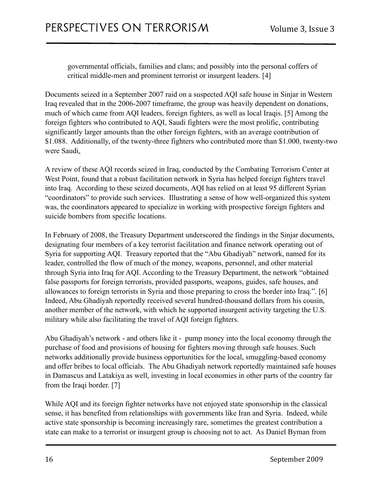governmental officials, families and clans; and possibly into the personal coffers of critical middle-men and prominent terrorist or insurgent leaders. [4]

Documents seized in a September 2007 raid on a suspected AQI safe house in Sinjar in Western Iraq revealed that in the 2006-2007 timeframe, the group was heavily dependent on donations, much of which came from AQI leaders, foreign fighters, as well as local Iraqis. [5] Among the foreign fighters who contributed to AQI, Saudi fighters were the most prolific, contributing significantly larger amounts than the other foreign fighters, with an average contribution of \$1.088. Additionally, of the twenty-three fighters who contributed more than \$1.000, twenty-two were Saudi.

A review of these AQI records seized in Iraq, conducted by the Combating Terrorism Center at West Point, found that a robust facilitation network in Syria has helped foreign fighters travel into Iraq. According to these seized documents, AQI has relied on at least 95 different Syrian "coordinators" to provide such services. Illustrating a sense of how well-organized this system was, the coordinators appeared to specialize in working with prospective foreign fighters and suicide bombers from specific locations.

In February of 2008, the Treasury Department underscored the findings in the Sinjar documents, designating four members of a key terrorist facilitation and finance network operating out of Syria for supporting AQI. Treasury reported that the "Abu Ghadiyah" network, named for its leader, controlled the flow of much of the money, weapons, personnel, and other material through Syria into Iraq for AQI. According to the Treasury Department, the network "obtained false passports for foreign terrorists, provided passports, weapons, guides, safe houses, and allowances to foreign terrorists in Syria and those preparing to cross the border into Iraq.". [6] Indeed, Abu Ghadiyah reportedly received several hundred-thousand dollars from his cousin, another member of the network, with which he supported insurgent activity targeting the U.S. military while also facilitating the travel of AQI foreign fighters.

Abu Ghadiyah's network - and others like it - pump money into the local economy through the purchase of food and provisions of housing for fighters moving through safe houses. Such networks additionally provide business opportunities for the local, smuggling-based economy and offer bribes to local officials. The Abu Ghadiyah network reportedly maintained safe houses in Damascus and Latakiya as well, investing in local economies in other parts of the country far from the Iraqi border. [7]

While AQI and its foreign fighter networks have not enjoyed state sponsorship in the classical sense, it has benefited from relationships with governments like Iran and Syria. Indeed, while active state sponsorship is becoming increasingly rare, sometimes the greatest contribution a state can make to a terrorist or insurgent group is choosing not to act. As Daniel Byman from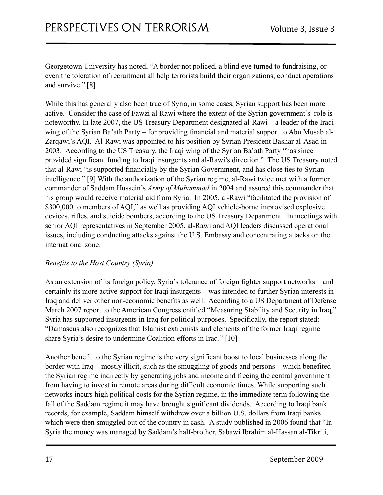Georgetown University has noted, "A border not policed, a blind eye turned to fundraising, or even the toleration of recruitment all help terrorists build their organizations, conduct operations and survive." [8]

While this has generally also been true of Syria, in some cases, Syrian support has been more active. Consider the case of Fawzi al-Rawi where the extent of the Syrian government's role is noteworthy. In late 2007, the US Treasury Department designated al-Rawi – a leader of the Iraqi wing of the Syrian Ba'ath Party – for providing financial and material support to Abu Musab al-Zarqawi's AQI. Al-Rawi was appointed to his position by Syrian President Bashar al-Asad in 2003. According to the US Treasury, the Iraqi wing of the Syrian Ba'ath Party "has since provided significant funding to Iraqi insurgents and al-Rawi's direction." The US Treasury noted that al-Rawi "is supported financially by the Syrian Government, and has close ties to Syrian intelligence." [9] With the authorization of the Syrian regime, al-Rawi twice met with a former commander of Saddam Hussein's *Army of Muhammad* in 2004 and assured this commander that his group would receive material aid from Syria. In 2005, al-Rawi "facilitated the provision of \$300,000 to members of AQI," as well as providing AQI vehicle-borne improvised explosive devices, rifles, and suicide bombers, according to the US Treasury Department. In meetings with senior AQI representatives in September 2005, al-Rawi and AQI leaders discussed operational issues, including conducting attacks against the U.S. Embassy and concentrating attacks on the international zone.

#### *Benefits to the Host Country (Syria)*

As an extension of its foreign policy, Syria's tolerance of foreign fighter support networks – and certainly its more active support for Iraqi insurgents – was intended to further Syrian interests in Iraq and deliver other non-economic benefits as well. According to a US Department of Defense March 2007 report to the American Congress entitled "Measuring Stability and Security in Iraq," Syria has supported insurgents in Iraq for political purposes. Specifically, the report stated: "Damascus also recognizes that Islamist extremists and elements of the former Iraqi regime share Syria's desire to undermine Coalition efforts in Iraq." [10]

Another benefit to the Syrian regime is the very significant boost to local businesses along the border with Iraq – mostly illicit, such as the smuggling of goods and persons – which benefited the Syrian regime indirectly by generating jobs and income and freeing the central government from having to invest in remote areas during difficult economic times. While supporting such networks incurs high political costs for the Syrian regime, in the immediate term following the fall of the Saddam regime it may have brought significant dividends. According to Iraqi bank records, for example, Saddam himself withdrew over a billion U.S. dollars from Iraqi banks which were then smuggled out of the country in cash. A study published in 2006 found that "In Syria the money was managed by Saddam's half-brother, Sabawi Ibrahim al-Hassan al-Tikriti,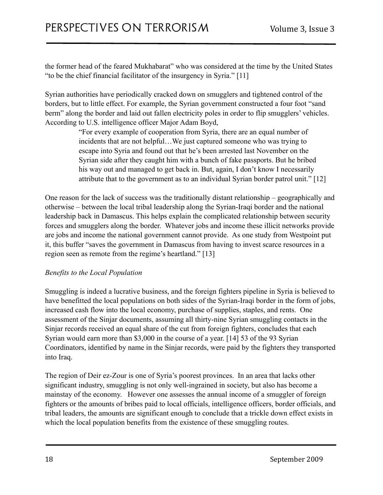the former head of the feared Mukhabarat" who was considered at the time by the United States "to be the chief financial facilitator of the insurgency in Syria." [11]

Syrian authorities have periodically cracked down on smugglers and tightened control of the borders, but to little effect. For example, the Syrian government constructed a four foot "sand berm" along the border and laid out fallen electricity poles in order to flip smugglers' vehicles. According to U.S. intelligence officer Major Adam Boyd,

> "For every example of cooperation from Syria, there are an equal number of incidents that are not helpful…We just captured someone who was trying to escape into Syria and found out that he's been arrested last November on the Syrian side after they caught him with a bunch of fake passports. But he bribed his way out and managed to get back in. But, again, I don't know I necessarily attribute that to the government as to an individual Syrian border patrol unit." [12]

One reason for the lack of success was the traditionally distant relationship – geographically and otherwise – between the local tribal leadership along the Syrian-Iraqi border and the national leadership back in Damascus. This helps explain the complicated relationship between security forces and smugglers along the border. Whatever jobs and income these illicit networks provide are jobs and income the national government cannot provide. As one study from Westpoint put it, this buffer "saves the government in Damascus from having to invest scarce resources in a region seen as remote from the regime's heartland." [13]

#### *Benefits to the Local Population*

Smuggling is indeed a lucrative business, and the foreign fighters pipeline in Syria is believed to have benefitted the local populations on both sides of the Syrian-Iraqi border in the form of jobs, increased cash flow into the local economy, purchase of supplies, staples, and rents. One assessment of the Sinjar documents, assuming all thirty-nine Syrian smuggling contacts in the Sinjar records received an equal share of the cut from foreign fighters, concludes that each Syrian would earn more than \$3,000 in the course of a year. [14] 53 of the 93 Syrian Coordinators, identified by name in the Sinjar records, were paid by the fighters they transported into Iraq.

The region of Deir ez-Zour is one of Syria's poorest provinces. In an area that lacks other significant industry, smuggling is not only well-ingrained in society, but also has become a mainstay of the economy. However one assesses the annual income of a smuggler of foreign fighters or the amounts of bribes paid to local officials, intelligence officers, border officials, and tribal leaders, the amounts are significant enough to conclude that a trickle down effect exists in which the local population benefits from the existence of these smuggling routes.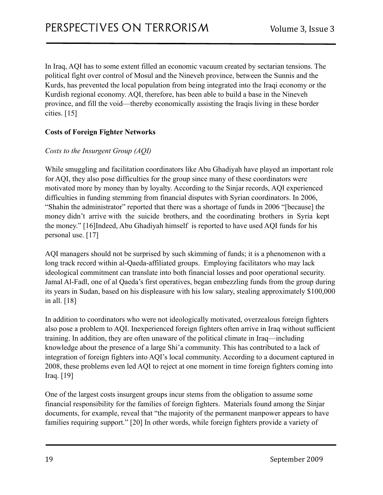In Iraq, AQI has to some extent filled an economic vacuum created by sectarian tensions. The political fight over control of Mosul and the Nineveh province, between the Sunnis and the Kurds, has prevented the local population from being integrated into the Iraqi economy or the Kurdish regional economy. AQI, therefore, has been able to build a base in the Nineveh province, and fill the void—thereby economically assisting the Iraqis living in these border cities. [15]

#### **Costs of Foreign Fighter Networks**

#### *Costs to the Insurgent Group (AQI)*

While smuggling and facilitation coordinators like Abu Ghadiyah have played an important role for AQI, they also pose difficulties for the group since many of these coordinators were motivated more by money than by loyalty. According to the Sinjar records, AQI experienced difficulties in funding stemming from financial disputes with Syrian coordinators. In 2006, "Shahin the administrator" reported that there was a shortage of funds in 2006 "[because] the money didn't arrive with the suicide brothers, and the coordinating brothers in Syria kept the money." [16]Indeed, Abu Ghadiyah himself is reported to have used AQI funds for his personal use. [17]

AQI managers should not be surprised by such skimming of funds; it is a phenomenon with a long track record within al-Qaeda-affiliated groups. Employing facilitators who may lack ideological commitment can translate into both financial losses and poor operational security. Jamal Al-Fadl, one of al Qaeda's first operatives, began embezzling funds from the group during its years in Sudan, based on his displeasure with his low salary, stealing approximately \$100,000 in all. [18]

In addition to coordinators who were not ideologically motivated, overzealous foreign fighters also pose a problem to AQI. Inexperienced foreign fighters often arrive in Iraq without sufficient training. In addition, they are often unaware of the political climate in Iraq—including knowledge about the presence of a large Shi'a community. This has contributed to a lack of integration of foreign fighters into AQI's local community. According to a document captured in 2008, these problems even led AQI to reject at one moment in time foreign fighters coming into Iraq. [19]

One of the largest costs insurgent groups incur stems from the obligation to assume some financial responsibility for the families of foreign fighters. Materials found among the Sinjar documents, for example, reveal that "the majority of the permanent manpower appears to have families requiring support." [20] In other words, while foreign fighters provide a variety of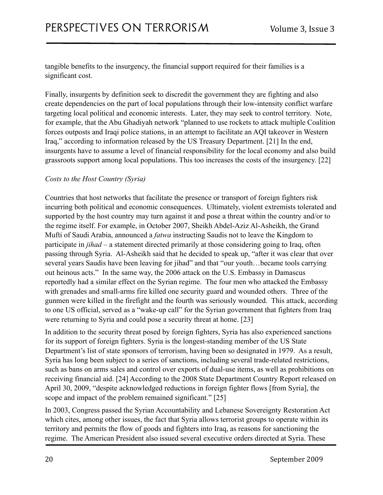tangible benefits to the insurgency, the financial support required for their families is a significant cost.

Finally, insurgents by definition seek to discredit the government they are fighting and also create dependencies on the part of local populations through their low-intensity conflict warfare targeting local political and economic interests. Later, they may seek to control territory. Note, for example, that the Abu Ghadiyah network "planned to use rockets to attack multiple Coalition forces outposts and Iraqi police stations, in an attempt to facilitate an AQI takeover in Western Iraq," according to information released by the US Treasury Department. [21] In the end, insurgents have to assume a level of financial responsibility for the local economy and also build grassroots support among local populations. This too increases the costs of the insurgency. [22]

#### *Costs to the Host Country (Syria)*

Countries that host networks that facilitate the presence or transport of foreign fighters risk incurring both political and economic consequences. Ultimately, violent extremists tolerated and supported by the host country may turn against it and pose a threat within the country and/or to the regime itself. For example, in October 2007, Sheikh Abdel-Aziz Al-Asheikh, the Grand Mufti of Saudi Arabia, announced a *fatwa* instructing Saudis not to leave the Kingdom to participate in *jihad* – a statement directed primarily at those considering going to Iraq, often passing through Syria. Al-Asheikh said that he decided to speak up, "after it was clear that over several years Saudis have been leaving for jihad" and that "our youth…became tools carrying out heinous acts." In the same way, the 2006 attack on the U.S. Embassy in Damascus reportedly had a similar effect on the Syrian regime. The four men who attacked the Embassy with grenades and small-arms fire killed one security guard and wounded others. Three of the gunmen were killed in the firefight and the fourth was seriously wounded. This attack, according to one US official, served as a "wake-up call" for the Syrian government that fighters from Iraq were returning to Syria and could pose a security threat at home. [23]

In addition to the security threat posed by foreign fighters, Syria has also experienced sanctions for its support of foreign fighters. Syria is the longest-standing member of the US State Department's list of state sponsors of terrorism, having been so designated in 1979. As a result, Syria has long been subject to a series of sanctions, including several trade-related restrictions, such as bans on arms sales and control over exports of dual-use items, as well as prohibitions on receiving financial aid. [24] According to the 2008 State Department Country Report released on April 30, 2009, "despite acknowledged reductions in foreign fighter flows [from Syria], the scope and impact of the problem remained significant." [25]

In 2003, Congress passed the Syrian Accountability and Lebanese Sovereignty Restoration Act which cites, among other issues, the fact that Syria allows terrorist groups to operate within its territory and permits the flow of goods and fighters into Iraq, as reasons for sanctioning the regime. The American President also issued several executive orders directed at Syria. These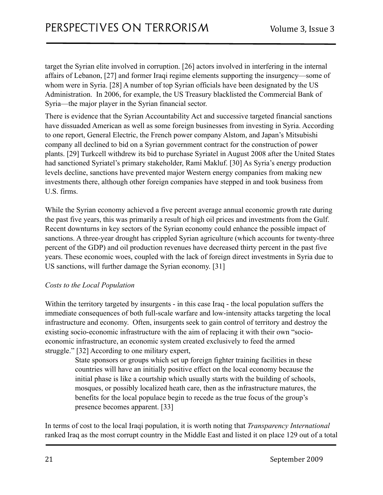target the Syrian elite involved in corruption. [26] actors involved in interfering in the internal affairs of Lebanon, [27] and former Iraqi regime elements supporting the insurgency—some of whom were in Syria. [28] A number of top Syrian officials have been designated by the US Administration. In 2006, for example, the US Treasury blacklisted the Commercial Bank of Syria—the major player in the Syrian financial sector.

There is evidence that the Syrian Accountability Act and successive targeted financial sanctions have dissuaded American as well as some foreign businesses from investing in Syria. According to one report, General Electric, the French power company Alstom, and Japan's Mitsubishi company all declined to bid on a Syrian government contract for the construction of power plants. [29] Turkcell withdrew its bid to purchase Syriatel in August 2008 after the United States had sanctioned Syriatel's primary stakeholder, Rami Makluf. [30] As Syria's energy production levels decline, sanctions have prevented major Western energy companies from making new investments there, although other foreign companies have stepped in and took business from U.S. firms.

While the Syrian economy achieved a five percent average annual economic growth rate during the past five years, this was primarily a result of high oil prices and investments from the Gulf. Recent downturns in key sectors of the Syrian economy could enhance the possible impact of sanctions. A three-year drought has crippled Syrian agriculture (which accounts for twenty-three percent of the GDP) and oil production revenues have decreased thirty percent in the past five years. These economic woes, coupled with the lack of foreign direct investments in Syria due to US sanctions, will further damage the Syrian economy. [31]

#### *Costs to the Local Population*

Within the territory targeted by insurgents - in this case Iraq - the local population suffers the immediate consequences of both full-scale warfare and low-intensity attacks targeting the local infrastructure and economy. Often, insurgents seek to gain control of territory and destroy the existing socio-economic infrastructure with the aim of replacing it with their own "socioeconomic infrastructure, an economic system created exclusively to feed the armed struggle." [32] According to one military expert,

> State sponsors or groups which set up foreign fighter training facilities in these countries will have an initially positive effect on the local economy because the initial phase is like a courtship which usually starts with the building of schools, mosques, or possibly localized heath care, then as the infrastructure matures, the benefits for the local populace begin to recede as the true focus of the group's presence becomes apparent. [33]

In terms of cost to the local Iraqi population, it is worth noting that *Transparency International* ranked Iraq as the most corrupt country in the Middle East and listed it on place 129 out of a total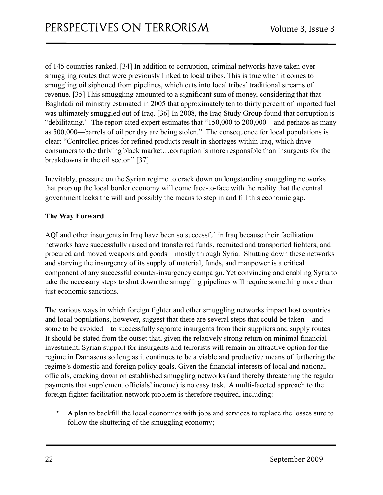of 145 countries ranked. [34] In addition to corruption, criminal networks have taken over smuggling routes that were previously linked to local tribes. This is true when it comes to smuggling oil siphoned from pipelines, which cuts into local tribes' traditional streams of revenue. [35] This smuggling amounted to a significant sum of money, considering that that Baghdadi oil ministry estimated in 2005 that approximately ten to thirty percent of imported fuel was ultimately smuggled out of Iraq. [36] In 2008, the Iraq Study Group found that corruption is "debilitating." The report cited expert estimates that "150,000 to 200,000—and perhaps as many as 500,000—barrels of oil per day are being stolen." The consequence for local populations is clear: "Controlled prices for refined products result in shortages within Iraq, which drive consumers to the thriving black market…corruption is more responsible than insurgents for the breakdowns in the oil sector." [37]

Inevitably, pressure on the Syrian regime to crack down on longstanding smuggling networks that prop up the local border economy will come face-to-face with the reality that the central government lacks the will and possibly the means to step in and fill this economic gap.

#### **The Way Forward**

AQI and other insurgents in Iraq have been so successful in Iraq because their facilitation networks have successfully raised and transferred funds, recruited and transported fighters, and procured and moved weapons and goods – mostly through Syria. Shutting down these networks and starving the insurgency of its supply of material, funds, and manpower is a critical component of any successful counter-insurgency campaign. Yet convincing and enabling Syria to take the necessary steps to shut down the smuggling pipelines will require something more than just economic sanctions.

The various ways in which foreign fighter and other smuggling networks impact host countries and local populations, however, suggest that there are several steps that could be taken – and some to be avoided – to successfully separate insurgents from their suppliers and supply routes. It should be stated from the outset that, given the relatively strong return on minimal financial investment, Syrian support for insurgents and terrorists will remain an attractive option for the regime in Damascus so long as it continues to be a viable and productive means of furthering the regime's domestic and foreign policy goals. Given the financial interests of local and national officials, cracking down on established smuggling networks (and thereby threatening the regular payments that supplement officials' income) is no easy task. A multi-faceted approach to the foreign fighter facilitation network problem is therefore required, including:

• A plan to backfill the local economies with jobs and services to replace the losses sure to follow the shuttering of the smuggling economy;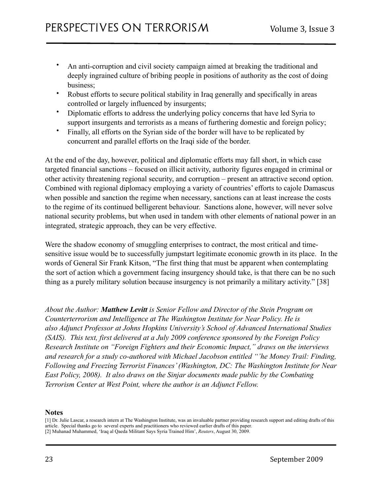- An anti-corruption and civil society campaign aimed at breaking the traditional and deeply ingrained culture of bribing people in positions of authority as the cost of doing business;
- Robust efforts to secure political stability in Iraq generally and specifically in areas controlled or largely influenced by insurgents;
- Diplomatic efforts to address the underlying policy concerns that have led Syria to support insurgents and terrorists as a means of furthering domestic and foreign policy;
- Finally, all efforts on the Syrian side of the border will have to be replicated by concurrent and parallel efforts on the Iraqi side of the border.

At the end of the day, however, political and diplomatic efforts may fall short, in which case targeted financial sanctions – focused on illicit activity, authority figures engaged in criminal or other activity threatening regional security, and corruption – present an attractive second option. Combined with regional diplomacy employing a variety of countries' efforts to cajole Damascus when possible and sanction the regime when necessary, sanctions can at least increase the costs to the regime of its continued belligerent behaviour. Sanctions alone, however, will never solve national security problems, but when used in tandem with other elements of national power in an integrated, strategic approach, they can be very effective.

Were the shadow economy of smuggling enterprises to contract, the most critical and timesensitive issue would be to successfully jumpstart legitimate economic growth in its place. In the words of General Sir Frank Kitson, "The first thing that must be apparent when contemplating the sort of action which a government facing insurgency should take, is that there can be no such thing as a purely military solution because insurgency is not primarily a military activity." [38]

*About the Author: Matthew Levitt is Senior Fellow and Director of the Stein Program on Counterterrorism and Intelligence at The Washington Institute for Near Policy. He is also Adjunct Professor at Johns Hopkins University's School of Advanced International Studies (SAIS). This text, first delivered at a July 2009 conference sponsored by the Foreign Policy Research Institute on "Foreign Fighters and their Economic Impact," draws on the interviews and research for a study co-authored with Michael Jacobson entitled "'he Money Trail: Finding, Following and Freezing Terrorist Finances' (Washington, DC: The Washington Institute for Near East Policy, 2008). It also draws on the Sinjar documents made public by the Combating Terrorism Center at West Point, where the author is an Adjunct Fellow.*

#### **Notes**

<sup>[1]</sup> Dr. Julie Lascar, a research intern at The Washington Institute, was an invaluable partner providing research support and editing drafts of this article. Special thanks go to several experts and practitioners who reviewed earlier drafts of this paper. [2] Muhanad Muhammed, 'Iraq al Qaeda Militant Says Syria Trained Him', *Reuters*, August 30, 2009.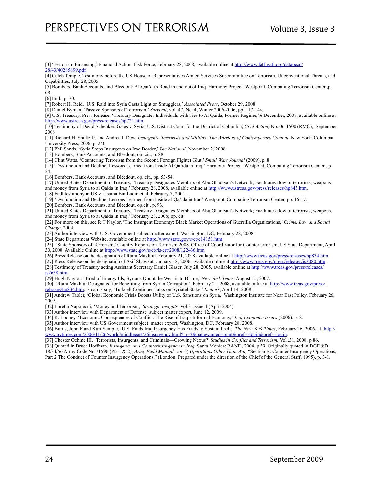[3] 'Terrorism Financing,' Financial Action Task Force, February 28, 2008, available online at [http://www.fatf-gafi.org/dataoecd/](http://www.fatf-gafi.org/dataoecd/28/43/40285899.pdf) [28/43/40285899.pdf](http://www.fatf-gafi.org/dataoecd/28/43/40285899.pdf)

[4] Caleb Temple. Testimony before the US House of Representatives Armed Services Subcommittee on Terrorism, Unconventional Threats, and Capabilities, July 28, 2005.

[5] Bombers, Bank Accounts, and Bleedout: Al-Qai'da's Road in and out of Iraq. Harmony Project. Westpoint, Combating Terrorism Center ,p. 68.

[6] Ibid., p. 70.

[7] Robert H. Reid, 'U.S. Raid into Syria Casts Light on Smugglers,' *Associated Press*, October 29, 2008.

[8] Daniel Byman, 'Passive Sponsors of Terrorism,' *Survival*, vol. 47, No. 4, Winter 2006-2006, pp. 117-144.

[9] U.S. Treasury, Press Release. 'Treasury Designates Individuals with Ties to Al Qaida, Former Regime,' 6 December, 2007; available online at <http://www.ustreas.gov/press/releases/hp721.htm>.

[10] Testimony of David Schenker, Gates v. Syria, U.S. District Court for the District of Columbia, *Civil Action,* No. 06-1500 (RMC), September 2008

[11] Richard H. Shultz Jr. and Andrea J. Dew, *Insurgents, Terrorists and Militias: The Warriors of Contemporary Combat*. New York: Columbia University Press, 2006, p. 240.

[12] Phil Sands, 'Syria Stops Insurgents on Iraq Border,' *The National,* November 2, 2008.

[13] Bombers, Bank Accounts, and Bleedout, op. cit., p. 88.

[14] Clint Watts. 'Countering Terrorism from the Second Foreign Fighter Glut,' *Small Wars Journal* (2009), p. 8.

[15] 'Dysfunction and Decline: Lessons Learned from Inside Al Qa'ida in Iraq,' Harmony Project. Westpoint, Combating Terrorism Center , p. 24

[16] Bombers, Bank Accounts, and Bleedout, op. cit., pp. 53-54.

[17] United States Department of Treasury, 'Treasury Designates Members of Abu Ghadiyah's Network; Facilitates flow of terrorists, weapons, and money from Syria to al Qaida in Iraq,' February 28, 2008, available online at [http://www.ustreas.gov/press/releases/hp845.htm.](http://www.ustreas.gov/press/releases/hp845.htm)

[18] Fadl testimony in US v. Usama Bin Ladin et al, February 7, 2001.

[19] 'Dysfunction and Decline: Lessons Learned from Inside al-Qa'ida in Iraq' Westpoint, Combating Terrorism Center, pp. 16-17.

[20] Bombers, Bank Accounts, and Bleedout, op.cit., p. 93.

[21] United States Department of Treasury, 'Treasury Designates Members of Abu Ghadiyah's Network; Facilitates flow of terrorists, weapons, and money from Syria to al Qaida in Iraq,' February 28, 2008; op. cit.

[22] For more on this, see R.T Naylor, 'The Insurgent Economy: Black Market Operations of Guerrilla Organizations,' *Crime, Law and Social Change*, 2004.

[23] Author interview with U.S. Government subject matter expert, Washington, DC, February 28, 2008.

[24] State Department Website, available online at<http://www.state.gov/s/ct/c14151.htm>.

[25] 'State Sponsors of Terrorism,' Country Reports on Terrorism 2008. Office of Coordinator for Counterterrorism, US State Department, April

30, 2008. Available Online at <http://www.state.gov/s/ct/rls/crt/2008/122436.htm>

[26] Press Release on the designation of Rami Makhluf, February 21, 2008 available online at [http://www.treas.gov/press/releases/hp834.htm.](http://www.treas.gov/press/releases/hp834.htm)

[27] Press Release on the designation of Asif Shawkat, January 18, 2006, available online at <http://www.treas.gov/press/releases/js3080.htm>.

[28] Testimony of Treasury acting Assistant Secretary Daniel Glaser, July 28, 2005, available online at [http://www.treas.gov/press/releases/](http://www.treas.gov/press/releases/js2658.htm)

[js2658.htm.](http://www.treas.gov/press/releases/js2658.htm)

[29] Hugh Naylor. 'Tired of Energy Ills, Syrians Doubt the West is to Blame,' *New York Times*, August 15, 2007.

[30] 'Rami Makhluf Designated for Benefiting from Syrian Corruption'; February 21, 2008, available online at [http://www.treas.gov/press/](http://www.treas.gov/press/releases/hp834.htm) [releases/hp834.htm;](http://www.treas.gov/press/releases/hp834.htm) Ercan Ersoy, 'Turkcell Continues Talks on Syriatel Stake,' *Reuters*, April 14, 2008.

[31] Andrew Tabler, 'Global Economic Crisis Boosts Utility of U.S. Sanctions on Syria,' Washington Institute for Near East Policy, February 26, 2009.

[32] Loretta Napoleoni, 'Money and Terrorism,' *Strategic Insights,* Vol.3, Issue 4 (April 2004).

[33] Author interview with Department of Defense subject matter expert, June 12, 2009.

[34] R. Looney, 'Economic Consequences of Conflict: The Rise of Iraq's Informal Economy,' *J. of Economic Issues* (2006). p. 8.

[35] Author interview with US Government subject matter expert, Washington, DC, February 28, 2008.

[36] Burns, John F and Kurt Semple, 'U.S. Finds Iraq Insurgency Has Funds to Sustain Itself,' *The New York Times*, February 26, 2006, at :[http://](http://www.nytimes.com/2006/11/26/world/middleeast/26insurgency.html?_r=2&pagewanted=print&oref=slogin&oref=slogin) [www.nytimes.com/2006/11/26/world/middleeast/26insurgency.html?\\_r=2&pagewanted=print&oref=slogin&oref=slogin](http://www.nytimes.com/2006/11/26/world/middleeast/26insurgency.html?_r=2&pagewanted=print&oref=slogin&oref=slogin).

[37] Chester Oehme III, 'Terrorists, Insurgents, and Criminals—Growing Nexus?' *Studies in Conflict and Terrorism,* Vol .31, 2008. p 86.

[38] Quoted in Bruce Hoffman. *Insurgency and Counterinsurgency in Iraq.* Santa Monica: RAND, 2004, p 39. Originally quoted in DGD&D

18/34/56 Army Code No 71596 (Pts 1 & 2), *Army Field Manual, vol. V, Operations Other Than War,* "Section B: Counter Insurgency Operations,

Part 2 The Conduct of Counter Insurgency Operations," (London: Prepared under the direction of the Chief of the General Staff, 1995), p. 3-1.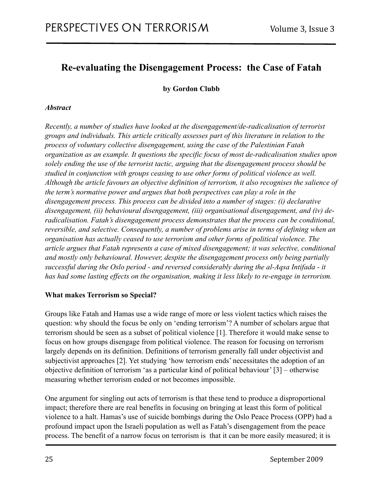# <span id="page-24-0"></span>**Re-evaluating the Disengagement Process: the Case of Fatah**

<span id="page-24-1"></span>**by Gordon Clubb**

#### *Abstract*

*Recently, a number of studies have looked at the disengagement/de-radicalisation of terrorist groups and individuals. This article critically assesses part of this literature in relation to the process of voluntary collective disengagement, using the case of the Palestinian Fatah organization as an example. It questions the specific focus of most de-radicalisation studies upon solely ending the use of the terrorist tactic, arguing that the disengagement process should be studied in conjunction with groups ceasing to use other forms of political violence as well. Although the article favours an objective definition of terrorism, it also recognises the salience of the term's normative power and argues that both perspectives can play a role in the disengagement process. This process can be divided into a number of stages: (i) declarative disengagement, (ii) behavioural disengagement, (iii) organisational disengagement, and (iv) deradicalisation. Fatah's disengagement process demonstrates that the process can be conditional, reversible, and selective. Consequently, a number of problems arise in terms of defining when an organisation has actually ceased to use terrorism and other forms of political violence. The article argues that Fatah represents a case of mixed disengagement; it was selective, conditional and mostly only behavioural. However, despite the disengagement process only being partially successful during the Oslo period - and reversed considerably during the al-Aqsa Intifada - it has had some lasting effects on the organisation, making it less likely to re-engage in terrorism.*

#### **What makes Terrorism so Special?**

Groups like Fatah and Hamas use a wide range of more or less violent tactics which raises the question: why should the focus be only on 'ending terrorism'? A number of scholars argue that terrorism should be seen as a subset of political violence [1]. Therefore it would make sense to focus on how groups disengage from political violence. The reason for focusing on terrorism largely depends on its definition. Definitions of terrorism generally fall under objectivist and subjectivist approaches [2]. Yet studying 'how terrorism ends' necessitates the adoption of an objective definition of terrorism 'as a particular kind of political behaviour' [3] – otherwise measuring whether terrorism ended or not becomes impossible.

One argument for singling out acts of terrorism is that these tend to produce a disproportional impact; therefore there are real benefits in focusing on bringing at least this form of political violence to a halt. Hamas's use of suicide bombings during the Oslo Peace Process (OPP) had a profound impact upon the Israeli population as well as Fatah's disengagement from the peace process. The benefit of a narrow focus on terrorism is that it can be more easily measured; it is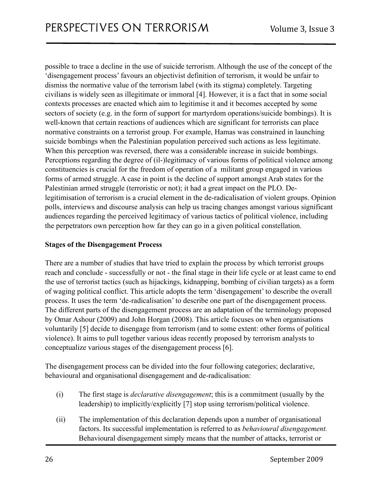possible to trace a decline in the use of suicide terrorism. Although the use of the concept of the 'disengagement process' favours an objectivist definition of terrorism, it would be unfair to dismiss the normative value of the terrorism label (with its stigma) completely. Targeting civilians is widely seen as illegitimate or immoral [4]. However, it is a fact that in some social contexts processes are enacted which aim to legitimise it and it becomes accepted by some sectors of society (e.g. in the form of support for martyrdom operations/suicide bombings). It is well-known that certain reactions of audiences which are significant for terrorists can place normative constraints on a terrorist group. For example, Hamas was constrained in launching suicide bombings when the Palestinian population perceived such actions as less legitimate. When this perception was reversed, there was a considerable increase in suicide bombings. Perceptions regarding the degree of (il-)legitimacy of various forms of political violence among constituencies is crucial for the freedom of operation of a militant group engaged in various forms of armed struggle. A case in point is the decline of support amongst Arab states for the Palestinian armed struggle (terroristic or not); it had a great impact on the PLO. Delegitimisation of terrorism is a crucial element in the de-radicalisation of violent groups. Opinion polls, interviews and discourse analysis can help us tracing changes amongst various significant audiences regarding the perceived legitimacy of various tactics of political violence, including the perpetrators own perception how far they can go in a given political constellation.

#### **Stages of the Disengagement Process**

There are a number of studies that have tried to explain the process by which terrorist groups reach and conclude - successfully or not - the final stage in their life cycle or at least came to end the use of terrorist tactics (such as hijackings, kidnapping, bombing of civilian targets) as a form of waging political conflict. This article adopts the term 'disengagement' to describe the overall process. It uses the term 'de-radicalisation' to describe one part of the disengagement process. The different parts of the disengagement process are an adaptation of the terminology proposed by Omar Ashour (2009) and John Horgan (2008). This article focuses on when organisations voluntarily [5] decide to disengage from terrorism (and to some extent: other forms of political violence). It aims to pull together various ideas recently proposed by terrorism analysts to conceptualize various stages of the disengagement process [6].

The disengagement process can be divided into the four following categories; declarative, behavioural and organisational disengagement and de-radicalisation:

- (i) The first stage is *declarative disengagement*; this is a commitment (usually by the leadership) to implicitly/explicitly [7] stop using terrorism/political violence.
- (ii) The implementation of this declaration depends upon a number of organisational factors. Its successful implementation is referred to as *behavioural disengagement.* Behavioural disengagement simply means that the number of attacks, terrorist or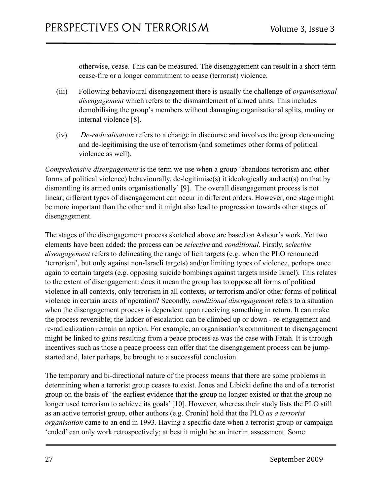otherwise, cease. This can be measured. The disengagement can result in a short-term cease-fire or a longer commitment to cease (terrorist) violence.

- (iii) Following behavioural disengagement there is usually the challenge of *organisational disengagement* which refers to the dismantlement of armed units. This includes demobilising the group's members without damaging organisational splits, mutiny or internal violence [8].
- (iv) *De-radicalisation* refers to a change in discourse and involves the group denouncing and de-legitimising the use of terrorism (and sometimes other forms of political violence as well).

*Comprehensive disengagement* is the term we use when a group 'abandons terrorism and other forms of political violence) behaviourally, de-legitimise(s) it ideologically and act(s) on that by dismantling its armed units organisationally' [9]. The overall disengagement process is not linear; different types of disengagement can occur in different orders. However, one stage might be more important than the other and it might also lead to progression towards other stages of disengagement.

The stages of the disengagement process sketched above are based on Ashour's work. Yet two elements have been added: the process can be *selective* and *conditional*. Firstly, s*elective disengagement* refers to delineating the range of licit targets (e.g. when the PLO renounced 'terrorism', but only against non-Israeli targets) and/or limiting types of violence, perhaps once again to certain targets (e.g. opposing suicide bombings against targets inside Israel). This relates to the extent of disengagement: does it mean the group has to oppose all forms of political violence in all contexts, only terrorism in all contexts, or terrorism and/or other forms of political violence in certain areas of operation? Secondly, *conditional disengagement* refers to a situation when the disengagement process is dependent upon receiving something in return. It can make the process reversible; the ladder of escalation can be climbed up or down - re-engagement and re-radicalization remain an option. For example, an organisation's commitment to disengagement might be linked to gains resulting from a peace process as was the case with Fatah. It is through incentives such as those a peace process can offer that the disengagement process can be jumpstarted and, later perhaps, be brought to a successful conclusion.

The temporary and bi-directional nature of the process means that there are some problems in determining when a terrorist group ceases to exist. Jones and Libicki define the end of a terrorist group on the basis of 'the earliest evidence that the group no longer existed or that the group no longer used terrorism to achieve its goals' [10]. However, whereas their study lists the PLO still as an active terrorist group, other authors (e.g. Cronin) hold that the PLO *as a terrorist organisation* came to an end in 1993. Having a specific date when a terrorist group or campaign 'ended' can only work retrospectively; at best it might be an interim assessment. Some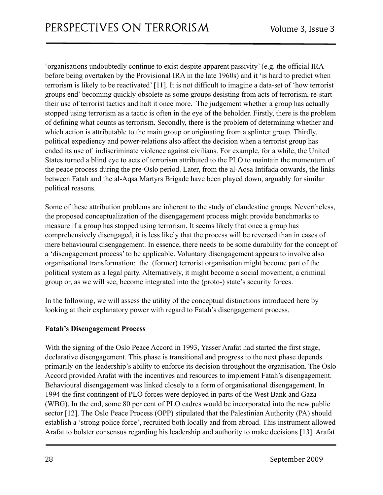'organisations undoubtedly continue to exist despite apparent passivity' (e.g. the official IRA before being overtaken by the Provisional IRA in the late 1960s) and it 'is hard to predict when terrorism is likely to be reactivated' [11]. It is not difficult to imagine a data-set of 'how terrorist groups end' becoming quickly obsolete as some groups desisting from acts of terrorism, re-start their use of terrorist tactics and halt it once more. The judgement whether a group has actually stopped using terrorism as a tactic is often in the eye of the beholder. Firstly, there is the problem of defining what counts as terrorism. Secondly, there is the problem of determining whether and which action is attributable to the main group or originating from a splinter group. Thirdly, political expediency and power-relations also affect the decision when a terrorist group has ended its use of indiscriminate violence against civilians. For example, for a while, the United States turned a blind eye to acts of terrorism attributed to the PLO to maintain the momentum of the peace process during the pre-Oslo period. Later, from the al-Aqsa Intifada onwards, the links between Fatah and the al-Aqsa Martyrs Brigade have been played down, arguably for similar political reasons.

Some of these attribution problems are inherent to the study of clandestine groups. Nevertheless, the proposed conceptualization of the disengagement process might provide benchmarks to measure if a group has stopped using terrorism. It seems likely that once a group has comprehensively disengaged, it is less likely that the process will be reversed than in cases of mere behavioural disengagement. In essence, there needs to be some durability for the concept of a 'disengagement process' to be applicable. Voluntary disengagement appears to involve also organisational transformation: the (former) terrorist organisation might become part of the political system as a legal party. Alternatively, it might become a social movement, a criminal group or, as we will see, become integrated into the (proto-) state's security forces.

In the following, we will assess the utility of the conceptual distinctions introduced here by looking at their explanatory power with regard to Fatah's disengagement process.

#### **Fatah's Disengagement Process**

With the signing of the Oslo Peace Accord in 1993, Yasser Arafat had started the first stage, declarative disengagement. This phase is transitional and progress to the next phase depends primarily on the leadership's ability to enforce its decision throughout the organisation. The Oslo Accord provided Arafat with the incentives and resources to implement Fatah's disengagement. Behavioural disengagement was linked closely to a form of organisational disengagement. In 1994 the first contingent of PLO forces were deployed in parts of the West Bank and Gaza (WBG). In the end, some 80 per cent of PLO cadres would be incorporated into the new public sector [12]. The Oslo Peace Process (OPP) stipulated that the Palestinian Authority (PA) should establish a 'strong police force', recruited both locally and from abroad. This instrument allowed Arafat to bolster consensus regarding his leadership and authority to make decisions [13]. Arafat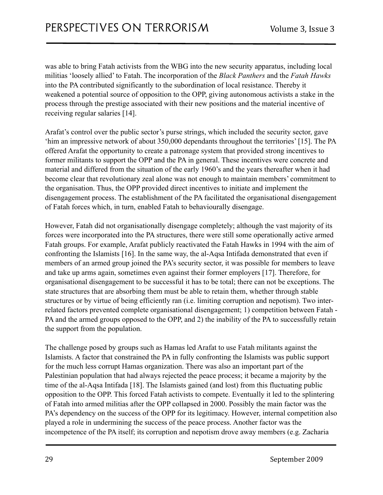was able to bring Fatah activists from the WBG into the new security apparatus, including local militias 'loosely allied' to Fatah. The incorporation of the *Black Panthers* and the *Fatah Hawks* into the PA contributed significantly to the subordination of local resistance. Thereby it weakened a potential source of opposition to the OPP, giving autonomous activists a stake in the process through the prestige associated with their new positions and the material incentive of receiving regular salaries [14].

Arafat's control over the public sector's purse strings, which included the security sector, gave 'him an impressive network of about 350,000 dependants throughout the territories' [15]. The PA offered Arafat the opportunity to create a patronage system that provided strong incentives to former militants to support the OPP and the PA in general. These incentives were concrete and material and differed from the situation of the early 1960's and the years thereafter when it had become clear that revolutionary zeal alone was not enough to maintain members' commitment to the organisation. Thus, the OPP provided direct incentives to initiate and implement the disengagement process. The establishment of the PA facilitated the organisational disengagement of Fatah forces which, in turn, enabled Fatah to behaviourally disengage.

However, Fatah did not organisationally disengage completely; although the vast majority of its forces were incorporated into the PA structures, there were still some operationally active armed Fatah groups. For example, Arafat publicly reactivated the Fatah Hawks in 1994 with the aim of confronting the Islamists [16]. In the same way, the al-Aqsa Intifada demonstrated that even if members of an armed group joined the PA's security sector, it was possible for members to leave and take up arms again, sometimes even against their former employers [17]. Therefore, for organisational disengagement to be successful it has to be total; there can not be exceptions. The state structures that are absorbing them must be able to retain them, whether through stable structures or by virtue of being efficiently ran (i.e. limiting corruption and nepotism). Two interrelated factors prevented complete organisational disengagement; 1) competition between Fatah - PA and the armed groups opposed to the OPP, and 2) the inability of the PA to successfully retain the support from the population.

The challenge posed by groups such as Hamas led Arafat to use Fatah militants against the Islamists. A factor that constrained the PA in fully confronting the Islamists was public support for the much less corrupt Hamas organization. There was also an important part of the Palestinian population that had always rejected the peace process; it became a majority by the time of the al-Aqsa Intifada [18]. The Islamists gained (and lost) from this fluctuating public opposition to the OPP. This forced Fatah activists to compete. Eventually it led to the splintering of Fatah into armed militias after the OPP collapsed in 2000. Possibly the main factor was the PA's dependency on the success of the OPP for its legitimacy. However, internal competition also played a role in undermining the success of the peace process. Another factor was the incompetence of the PA itself; its corruption and nepotism drove away members (e.g. Zacharia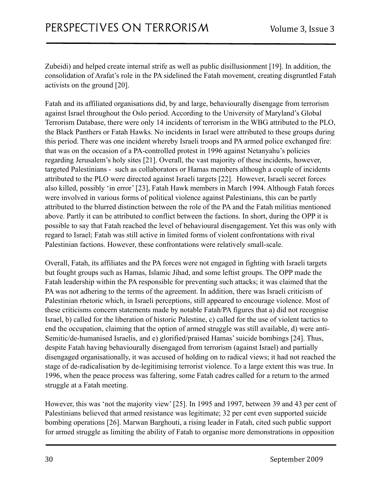Zubeidi) and helped create internal strife as well as public disillusionment [19]. In addition, the consolidation of Arafat's role in the PA sidelined the Fatah movement, creating disgruntled Fatah activists on the ground [20].

Fatah and its affiliated organisations did, by and large, behaviourally disengage from terrorism against Israel throughout the Oslo period. According to the University of Maryland's Global Terrorism Database, there were only 14 incidents of terrorism in the WBG attributed to the PLO, the Black Panthers or Fatah Hawks. No incidents in Israel were attributed to these groups during this period. There was one incident whereby Israeli troops and PA armed police exchanged fire: that was on the occasion of a PA-controlled protest in 1996 against Netanyahu's policies regarding Jerusalem's holy sites [21]. Overall, the vast majority of these incidents, however, targeted Palestinians - such as collaborators or Hamas members although a couple of incidents attributed to the PLO were directed against Israeli targets [22]. However, Israeli secret forces also killed, possibly 'in error' [23], Fatah Hawk members in March 1994. Although Fatah forces were involved in various forms of political violence against Palestinians, this can be partly attributed to the blurred distinction between the role of the PA and the Fatah militias mentioned above. Partly it can be attributed to conflict between the factions. In short, during the OPP it is possible to say that Fatah reached the level of behavioural disengagement. Yet this was only with regard to Israel; Fatah was still active in limited forms of violent confrontations with rival Palestinian factions. However, these confrontations were relatively small-scale.

Overall, Fatah, its affiliates and the PA forces were not engaged in fighting with Israeli targets but fought groups such as Hamas, Islamic Jihad, and some leftist groups. The OPP made the Fatah leadership within the PA responsible for preventing such attacks; it was claimed that the PA was not adhering to the terms of the agreement. In addition, there was Israeli criticism of Palestinian rhetoric which, in Israeli perceptions, still appeared to encourage violence. Most of these criticisms concern statements made by notable Fatah/PA figures that a) did not recognise Israel, b) called for the liberation of historic Palestine, c) called for the use of violent tactics to end the occupation, claiming that the option of armed struggle was still available, d) were anti-Semitic/de-humanised Israelis, and e) glorified/praised Hamas' suicide bombings [24]. Thus, despite Fatah having behaviourally disengaged from terrorism (against Israel) and partially disengaged organisationally, it was accused of holding on to radical views; it had not reached the stage of de-radicalisation by de-legitimising terrorist violence. To a large extent this was true. In 1996, when the peace process was faltering, some Fatah cadres called for a return to the armed struggle at a Fatah meeting.

However, this was 'not the majority view' [25]. In 1995 and 1997, between 39 and 43 per cent of Palestinians believed that armed resistance was legitimate; 32 per cent even supported suicide bombing operations [26]. Marwan Barghouti, a rising leader in Fatah, cited such public support for armed struggle as limiting the ability of Fatah to organise more demonstrations in opposition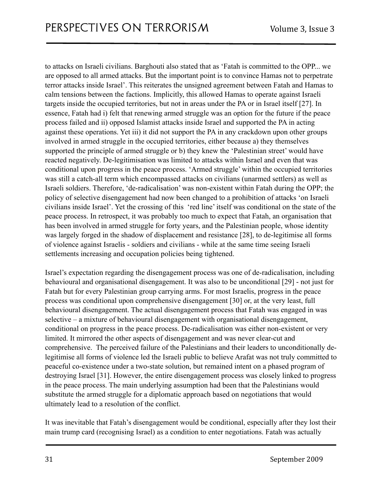to attacks on Israeli civilians. Barghouti also stated that as 'Fatah is committed to the OPP... we are opposed to all armed attacks. But the important point is to convince Hamas not to perpetrate terror attacks inside Israel'. This reiterates the unsigned agreement between Fatah and Hamas to calm tensions between the factions. Implicitly, this allowed Hamas to operate against Israeli targets inside the occupied territories, but not in areas under the PA or in Israel itself [27]. In essence, Fatah had i) felt that renewing armed struggle was an option for the future if the peace process failed and ii) opposed Islamist attacks inside Israel and supported the PA in acting against these operations. Yet iii) it did not support the PA in any crackdown upon other groups involved in armed struggle in the occupied territories, either because a) they themselves supported the principle of armed struggle or b) they knew the 'Palestinian street' would have reacted negatively. De-legitimisation was limited to attacks within Israel and even that was conditional upon progress in the peace process. 'Armed struggle' within the occupied territories was still a catch-all term which encompassed attacks on civilians (unarmed settlers) as well as Israeli soldiers. Therefore, 'de-radicalisation' was non-existent within Fatah during the OPP; the policy of selective disengagement had now been changed to a prohibition of attacks 'on Israeli civilians inside Israel'. Yet the crossing of this 'red line' itself was conditional on the state of the peace process. In retrospect, it was probably too much to expect that Fatah, an organisation that has been involved in armed struggle for forty years, and the Palestinian people, whose identity was largely forged in the shadow of displacement and resistance [28], to de-legitimise all forms of violence against Israelis - soldiers and civilians - while at the same time seeing Israeli settlements increasing and occupation policies being tightened.

Israel's expectation regarding the disengagement process was one of de-radicalisation, including behavioural and organisational disengagement. It was also to be unconditional [29] - not just for Fatah but for every Palestinian group carrying arms. For most Israelis, progress in the peace process was conditional upon comprehensive disengagement [30] or, at the very least, full behavioural disengagement. The actual disengagement process that Fatah was engaged in was selective – a mixture of behavioural disengagement with organisational disengagement, conditional on progress in the peace process. De-radicalisation was either non-existent or very limited. It mirrored the other aspects of disengagement and was never clear-cut and comprehensive. The perceived failure of the Palestinians and their leaders to unconditionally delegitimise all forms of violence led the Israeli public to believe Arafat was not truly committed to peaceful co-existence under a two-state solution, but remained intent on a phased program of destroying Israel [31]. However, the entire disengagement process was closely linked to progress in the peace process. The main underlying assumption had been that the Palestinians would substitute the armed struggle for a diplomatic approach based on negotiations that would ultimately lead to a resolution of the conflict.

It was inevitable that Fatah's disengagement would be conditional, especially after they lost their main trump card (recognising Israel) as a condition to enter negotiations. Fatah was actually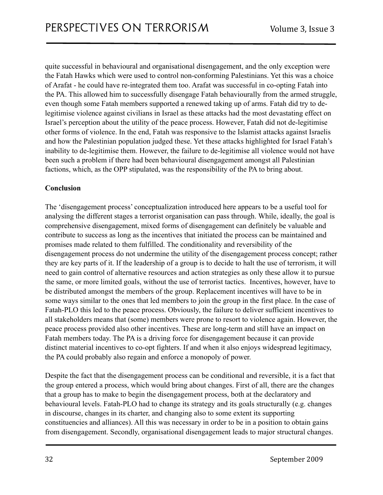quite successful in behavioural and organisational disengagement, and the only exception were the Fatah Hawks which were used to control non-conforming Palestinians. Yet this was a choice of Arafat - he could have re-integrated them too. Arafat was successful in co-opting Fatah into the PA. This allowed him to successfully disengage Fatah behaviourally from the armed struggle, even though some Fatah members supported a renewed taking up of arms. Fatah did try to delegitimise violence against civilians in Israel as these attacks had the most devastating effect on Israel's perception about the utility of the peace process. However, Fatah did not de-legitimise other forms of violence. In the end, Fatah was responsive to the Islamist attacks against Israelis and how the Palestinian population judged these. Yet these attacks highlighted for Israel Fatah's inability to de-legitimise them. However, the failure to de-legitimise all violence would not have been such a problem if there had been behavioural disengagement amongst all Palestinian factions, which, as the OPP stipulated, was the responsibility of the PA to bring about.

#### **Conclusion**

The 'disengagement process' conceptualization introduced here appears to be a useful tool for analysing the different stages a terrorist organisation can pass through. While, ideally, the goal is comprehensive disengagement, mixed forms of disengagement can definitely be valuable and contribute to success as long as the incentives that initiated the process can be maintained and promises made related to them fulfilled. The conditionality and reversibility of the disengagement process do not undermine the utility of the disengagement process concept; rather they are key parts of it. If the leadership of a group is to decide to halt the use of terrorism, it will need to gain control of alternative resources and action strategies as only these allow it to pursue the same, or more limited goals, without the use of terrorist tactics. Incentives, however, have to be distributed amongst the members of the group. Replacement incentives will have to be in some ways similar to the ones that led members to join the group in the first place. In the case of Fatah-PLO this led to the peace process. Obviously, the failure to deliver sufficient incentives to all stakeholders means that (some) members were prone to resort to violence again. However, the peace process provided also other incentives. These are long-term and still have an impact on Fatah members today. The PA is a driving force for disengagement because it can provide distinct material incentives to co-opt fighters. If and when it also enjoys widespread legitimacy, the PA could probably also regain and enforce a monopoly of power.

Despite the fact that the disengagement process can be conditional and reversible, it is a fact that the group entered a process, which would bring about changes. First of all, there are the changes that a group has to make to begin the disengagement process, both at the declaratory and behavioural levels. Fatah-PLO had to change its strategy and its goals structurally (e.g. changes in discourse, changes in its charter, and changing also to some extent its supporting constituencies and alliances). All this was necessary in order to be in a position to obtain gains from disengagement. Secondly, organisational disengagement leads to major structural changes.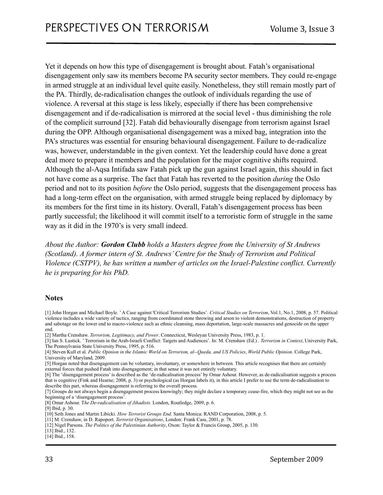Yet it depends on how this type of disengagement is brought about. Fatah's organisational disengagement only saw its members become PA security sector members. They could re-engage in armed struggle at an individual level quite easily. Nonetheless, they still remain mostly part of the PA. Thirdly, de-radicalisation changes the outlook of individuals regarding the use of violence. A reversal at this stage is less likely, especially if there has been comprehensive disengagement and if de-radicalisation is mirrored at the social level - thus diminishing the role of the complicit surround [32]. Fatah did behaviourally disengage from terrorism against Israel during the OPP. Although organisational disengagement was a mixed bag, integration into the PA's structures was essential for ensuring behavioural disengagement. Failure to de-radicalize was, however, understandable in the given context. Yet the leadership could have done a great deal more to prepare it members and the population for the major cognitive shifts required. Although the al-Aqsa Intifada saw Fatah pick up the gun against Israel again, this should in fact not have come as a surprise. The fact that Fatah has reverted to the position *during* the Oslo period and not to its position *before* the Oslo period, suggests that the disengagement process has had a long-term effect on the organisation, with armed struggle being replaced by diplomacy by its members for the first time in its history. Overall, Fatah's disengagement process has been partly successful; the likelihood it will commit itself to a terroristic form of struggle in the same way as it did in the 1970's is very small indeed.

*About the Author: Gordon Clubb holds a Masters degree from the University of St Andrews (Scotland). A former intern of St. Andrews' Centre for the Study of Terrorism and Political Violence (CSTPV), he has written a number of articles on the Israel-Palestine conflict. Currently he is preparing for his PhD.*

#### **Notes**

[2] Martha Crenshaw. *Terrorism, Legitimacy, and Power*. Connecticut, Wesleyan University Press, 1983, p. 1.

<sup>[1]</sup> John Horgan and Michael Boyle*.* ' A Case against 'Critical Terrorism Studies'. *Critical Studies on Terrorism*, Vol.1, No.1, 2008, p. 57. Political violence includes a wide variety of tactics, ranging from coordinated stone throwing and arson to violent demonstrations, destruction of property and sabotage on the lower end to macro-violence such as ethnic cleansing, mass deportation, large-scale massacres and genocide on the upper end.

<sup>[3]</sup> Ian S. Lustick. ' Terrorism in the Arab-Israeli Conflict: Targets and Audiences'. In: M. Crenshaw (Ed.) . *Terrorism in Context*, University Park, The Pennsylvania State University Press, 1995, p. 516.

<sup>[4]</sup> Steven Kull et al. *Public Opinion in the Islamic World on Terrorism, al--Qaeda, and US Policies*, *World Public Opinion*. College Park, University of Maryland, 2009.

<sup>[5]</sup> Horgan noted that disengagement can be voluntary, involuntary, or somewhere in between. This article recognises that there are certainly external forces that pushed Fatah into disengagement; in that sense it was not entirely voluntary.

<sup>[6]</sup> The 'disengagement process' is described as the 'de-radicalisation process' by Omar Ashour. However, as de-radicalisation suggests a process that is cognitive (Fink and Hearne; 2008, p. 3) or psychological (as Horgan labels it), in this article I prefer to use the term de-radicalisation to describe this part, whereas disengagement is referring to the overall process.

<sup>[7]</sup> Groups do not always begin a disengagement process knowingly; they might declare a temporary cease-fire, which they might not see as the beginning of a 'disengagement process'.

<sup>[8]</sup> Omar Ashour. T*he De-radicalisation of Jihadists.* London, Routledge, 2009, p. 6.

<sup>[9]</sup> Ibid, p. 30.

<sup>[10]</sup> Seth Jones and Martin Libicki. *How Terrorist Groups End*. Santa Monica: RAND Corporation, 2008, p. 5.

<sup>[11]</sup> M. Crenshaw, in D. Rapoport. *Terrorist Organisations*, London: Frank Cass, 2001, p. 78.

<sup>[12]</sup> Nigel Parsons. *The Politics of the Palestinian Authority*, Oxon: Taylor & Francis Group, 2005, p. 130.

<sup>[13]</sup> Ibid., 132.

<sup>[14]</sup> Ibid., 158.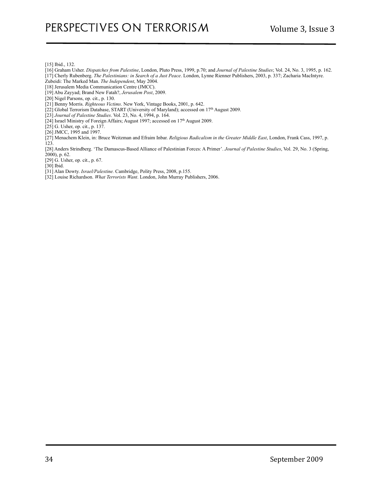[15] Ibid., 132.

- [16] Graham Usher. *Dispatches from Palestine*, London, Pluto Press, 1999, p.70; and *Journal of Palestine Studies*; Vol. 24, No. 3, 1995, p. 162.
- [17] Cherly Rubenberg. *The Palestinians: in Search of a Just Peace*. London, Lynne Rienner Publishers, 2003, p. 337; Zacharia MacIntyre.
- Zubeidi: The Marked Man. *The Independent*, May 2004.
- [18] Jerusalem Media Communication Centre (JMCC).
- [19] Abu Zayyad; Brand New Fatah?, *Jerusalem Post*, 2009.
- [20] Nigel Parsons, op. cit., p. 130.
- [21] Benny Morris. *Righteous Victims*. New York, Vintage Books, 2001, p. 642.
- [22] Global Terrorism Database, START (University of Maryland); accessed on 17th August 2009.
- [23] *Journal of Palestine Studies*. Vol. 23, No. 4, 1994, p. 164.
- [24] Israel Ministry of Foreign Affairs; August 1997; accessed on 17th August 2009.
- [25] G. Usher, op. cit., p. 137.
- [26] JMCC, 1995 and 1997.

[27] Menachem Klein, in: Bruce Weitzman and Efraim Inbar. *Religious Radicalism in the Greater Middle East*, London, Frank Cass, 1997, p. 123.

[28] Anders Strindberg. 'The Damascus-Based Alliance of Palestinian Forces: A Primer'. *Journal of Palestine Studies*, Vol. 29, No. 3 (Spring, 2000), p. 62.

[29] G. Usher, op. cit., p. 67.

[30] Ibid.

[31] Alan Dowty. *Israel/Palestine.* Cambridge, Polity Press, 2008, p.155.

[32] Louise Richardson. *What Terrorists Want*. London, John Murray Publishers, 2006.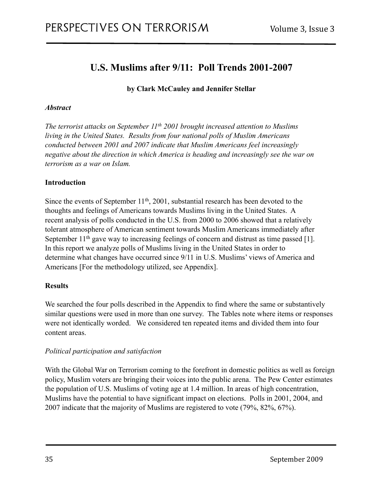# <span id="page-34-0"></span>**U.S. Muslims after 9/11: Poll Trends 2001-2007**

<span id="page-34-1"></span>**by Clark McCauley and Jennifer Stellar**

#### *Abstract*

*The terrorist attacks on September 11<sup>th</sup> 2001 brought increased attention to Muslims living in the United States. Results from four national polls of Muslim Americans conducted between 2001 and 2007 indicate that Muslim Americans feel increasingly negative about the direction in which America is heading and increasingly see the war on terrorism as a war on Islam.*

#### **Introduction**

Since the events of September 11<sup>th</sup>, 2001, substantial research has been devoted to the thoughts and feelings of Americans towards Muslims living in the United States. A recent analysis of polls conducted in the U.S. from 2000 to 2006 showed that a relatively tolerant atmosphere of American sentiment towards Muslim Americans immediately after September 11<sup>th</sup> gave way to increasing feelings of concern and distrust as time passed [1]. In this report we analyze polls of Muslims living in the United States in order to determine what changes have occurred since 9/11 in U.S. Muslims' views of America and Americans [For the methodology utilized, see Appendix].

#### **Results**

We searched the four polls described in the Appendix to find where the same or substantively similar questions were used in more than one survey. The Tables note where items or responses were not identically worded. We considered ten repeated items and divided them into four content areas.

#### *Political participation and satisfaction*

With the Global War on Terrorism coming to the forefront in domestic politics as well as foreign policy, Muslim voters are bringing their voices into the public arena. The Pew Center estimates the population of U.S. Muslims of voting age at 1.4 million. In areas of high concentration, Muslims have the potential to have significant impact on elections. Polls in 2001, 2004, and 2007 indicate that the majority of Muslims are registered to vote (79%, 82%, 67%).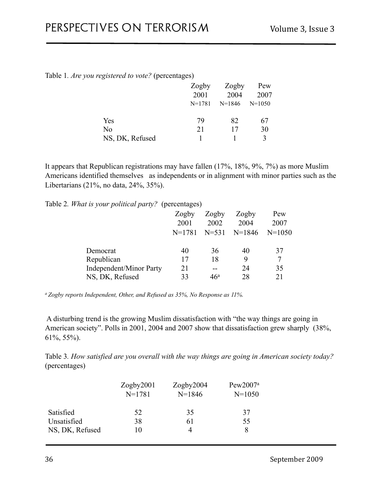| Table 1. Are you registered to vote? (percentages) |  |
|----------------------------------------------------|--|
|----------------------------------------------------|--|

|                 | Zogby      | Zogby    | Pew        |
|-----------------|------------|----------|------------|
|                 | 2001       | 2004     | 2007       |
|                 | $N = 1781$ | $N=1846$ | $N = 1050$ |
| Yes             | 79         | 82       | 67         |
| No              | 21         | 17       | 30         |
| NS, DK, Refused |            |          | 3          |

It appears that Republican registrations may have fallen (17%, 18%, 9%, 7%) as more Muslim Americans identified themselves as independents or in alignment with minor parties such as the Libertarians (21%, no data, 24%, 35%).

Table 2*. What is your political party?* (percentages)

|                                | Zogby    | Zogby     | Zogby    | Pew        |
|--------------------------------|----------|-----------|----------|------------|
|                                | 2001     | 2002      | 2004     | 2007       |
|                                | $N=1781$ | $N = 531$ | $N=1846$ | $N = 1050$ |
|                                |          |           |          |            |
| Democrat                       | 40       | 36        | 40       | 37         |
| Republican                     | 17       | 18        | 9        |            |
| <b>Independent/Minor Party</b> | 21       |           | 24       | 35         |
| NS, DK, Refused                | 33       | 46ª       | 28       | 21         |

*a Zogby reports Independent, Other, and Refused as 35%, No Response as 11%.*

 A disturbing trend is the growing Muslim dissatisfaction with "the way things are going in American society". Polls in 2001, 2004 and 2007 show that dissatisfaction grew sharply (38%, 61%, 55%).

Table 3*. How satisfied are you overall with the way things are going in American society today?* (percentages)

|                 | Zogby2001<br>$N = 1781$ | Zogby2004<br>$N=1846$ | Pew2007 <sup>a</sup><br>$N = 1050$ |
|-----------------|-------------------------|-----------------------|------------------------------------|
| Satisfied       | 52                      | 35                    | 37                                 |
| Unsatisfied     | 38                      | 61                    | 55                                 |
| NS, DK, Refused | 10                      | 4                     | 8                                  |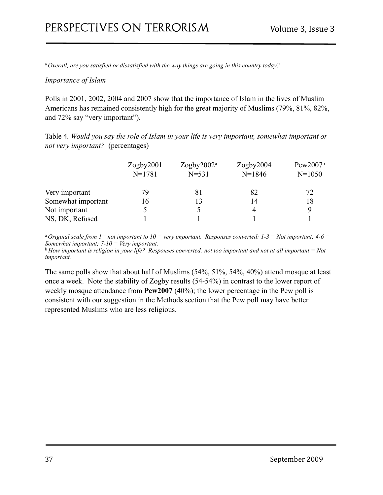<sup>a</sup>*Overall, are you satisfied or dissatisfied with the way things are going in this country today?*

#### *Importance of Islam*

Polls in 2001, 2002, 2004 and 2007 show that the importance of Islam in the lives of Muslim Americans has remained consistently high for the great majority of Muslims (79%, 81%, 82%, and 72% say "very important").

Table 4*. Would you say the role of Islam in your life is very important, somewhat important or not very important?* (percentages)

|                    | Zogby2001  | Zogby $2002^a$ | Zogby2004 | Pew2007 <sup>b</sup> |
|--------------------|------------|----------------|-----------|----------------------|
|                    | $N = 1781$ | $N = 531$      | $N=1846$  | $N = 1050$           |
| Very important     | 79         | 81             | 82        | 72                   |
| Somewhat important | 16         |                | 14        | 18                   |
| Not important      |            |                |           | Q                    |
| NS, DK, Refused    |            |                |           |                      |

<sup>a</sup> Original scale from  $1=$  not important to  $10=$  very important. Responses converted:  $1-3=$  Not important;  $4-6=$ *Somewhat important; 7-10 = Very important.* 

<sup>b</sup>*How important is religion in your life? Responses converted: not too important and not at all important = Not important.*

The same polls show that about half of Muslims (54%, 51%, 54%, 40%) attend mosque at least once a week. Note the stability of Zogby results (54-54%) in contrast to the lower report of weekly mosque attendance from **Pew2007** (40%); the lower percentage in the Pew poll is consistent with our suggestion in the Methods section that the Pew poll may have better represented Muslims who are less religious.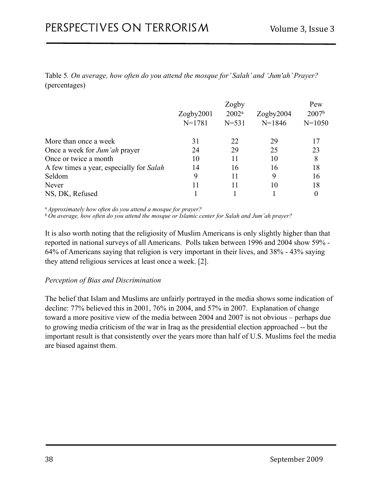Table 5*. On average, how often do you attend the mosque for' Salah' and 'Jum'ah' Prayer?*  (percentages)

|                                          | Zogby      |           |            | Pew               |  |
|------------------------------------------|------------|-----------|------------|-------------------|--|
|                                          | Zogby2001  | $2002^a$  | Zogby2004  | 2007 <sup>b</sup> |  |
|                                          | $N = 1781$ | $N = 531$ | $N = 1846$ | $N = 1050$        |  |
| More than once a week                    | 31         | 22        | 29         |                   |  |
| Once a week for <i>Jum'ah</i> prayer     | 24         | 29        | 25         | 23                |  |
| Once or twice a month                    | 10         | 11        | 10         | 8                 |  |
| A few times a year, especially for Salah | 14         | 16        | 16         | 18                |  |
| Seldom                                   | 9          | 11        | 9          | 16                |  |
| Never                                    |            |           | 10         | 18                |  |
| NS, DK, Refused                          |            |           |            | 0                 |  |

<sup>a</sup>*Approximately how often do you attend a mosque for prayer?*

<sup>b</sup>*On average, how often do you attend the mosque or Islamic center for Salah and Jum'ah prayer?*

It is also worth noting that the religiosity of Muslim Americans is only slightly higher than that reported in national surveys of all Americans. Polls taken between 1996 and 2004 show 59% - 64% of Americans saying that religion is very important in their lives, and 38% - 43% saying they attend religious services at least once a week. [2].

#### *Perception of Bias and Discrimination*

The belief that Islam and Muslims are unfairly portrayed in the media shows some indication of decline: 77% believed this in 2001, 76% in 2004, and 57% in 2007. Explanation of change toward a more positive view of the media between 2004 and 2007 is not obvious – perhaps due to growing media criticism of the war in Iraq as the presidential election approached -- but the important result is that consistently over the years more than half of U.S. Muslims feel the media are biased against them.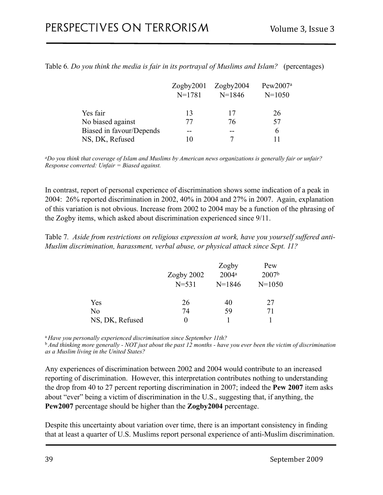|                          | Zogby2001  | Zogby2004 | Pew2007 <sup>a</sup> |  |
|--------------------------|------------|-----------|----------------------|--|
|                          | $N = 1781$ | $N=1846$  | $N = 1050$           |  |
| Yes fair                 | 13         | 17        | 26                   |  |
| No biased against        | 77         | 76        | 57                   |  |
| Biased in favour/Depends | --         |           | 6                    |  |
| NS, DK, Refused          | 10         |           |                      |  |

Table 6*. Do you think the media is fair in its portrayal of Muslims and Islam?* (percentages)

*aDo you think that coverage of Islam and Muslims by American news organizations is generally fair or unfair? Response converted: Unfair = Biased against.*

In contrast, report of personal experience of discrimination shows some indication of a peak in 2004: 26% reported discrimination in 2002, 40% in 2004 and 27% in 2007. Again, explanation of this variation is not obvious. Increase from 2002 to 2004 may be a function of the phrasing of the Zogby items, which asked about discrimination experienced since 9/11.

Table 7*. Aside from restrictions on religious expression at work, have you yourself suffered anti-Muslim discrimination, harassment, verbal abuse, or physical attack since Sept. 11?*

|                 | Zogby $2002$ | Zogby<br>$2004^a$ | Pew<br>2007 <sup>b</sup> |
|-----------------|--------------|-------------------|--------------------------|
|                 | $N = 531$    | $N=1846$          | $N = 1050$               |
| Yes             | 26           | 40                | 27                       |
| N <sub>0</sub>  | 74           | 59                | 71                       |
| NS, DK, Refused | 0            |                   |                          |

<sup>a</sup>*Have you personally experienced discrimination since September 11th?*

<sup>b</sup>*And thinking more generally - NOT just about the past 12 months - have you ever been the victim of discrimination as a Muslim living in the United States?*

Any experiences of discrimination between 2002 and 2004 would contribute to an increased reporting of discrimination. However, this interpretation contributes nothing to understanding the drop from 40 to 27 percent reporting discrimination in 2007; indeed the **Pew 2007** item asks about "ever" being a victim of discrimination in the U.S., suggesting that, if anything, the **Pew2007** percentage should be higher than the **Zogby2004** percentage.

Despite this uncertainty about variation over time, there is an important consistency in finding that at least a quarter of U.S. Muslims report personal experience of anti-Muslim discrimination.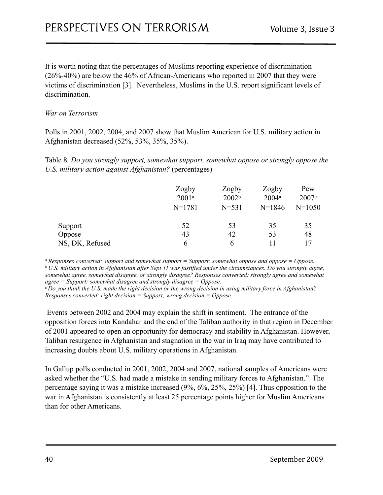It is worth noting that the percentages of Muslims reporting experience of discrimination (26%-40%) are below the 46% of African-Americans who reported in 2007 that they were victims of discrimination [3]. Nevertheless, Muslims in the U.S. report significant levels of discrimination.

#### *War on Terrorism*

Polls in 2001, 2002, 2004, and 2007 show that Muslim American for U.S. military action in Afghanistan decreased (52%, 53%, 35%, 35%).

Table 8*. Do you strongly support, somewhat support, somewhat oppose or strongly oppose the U.S. military action against Afghanistan?* (percentages)

|                 | Zogby<br>$2001^a$<br>$N = 1781$ | Zogby<br>2002 <sup>b</sup><br>$N = 531$ | Zogby<br>$2004^a$<br>$N=1846$ | Pew<br>2007c<br>$N = 1050$ |
|-----------------|---------------------------------|-----------------------------------------|-------------------------------|----------------------------|
| Support         | 52                              | 53                                      | 35                            | 35                         |
| Oppose          | 43                              | 42                                      | 53                            | 48                         |
| NS, DK, Refused | b                               | 6                                       |                               | 17                         |

*a Responses converted: support and somewhat support = Support; somewhat oppose and oppose = Oppose. b U.S. military action in Afghanistan after Sept 11 was justified under the circumstances. Do you strongly agree, somewhat agree, somewhat disagree, or strongly disagree? Responses converted: strongly agree and somewhat agree = Support; somewhat disagree and strongly disagree = Oppose.*

<sup>c</sup>*Do you think the U.S. made the right decision or the wrong decision in using military force in Afghanistan? Responses converted: right decision = Support; wrong decision = Oppose.*

 Events between 2002 and 2004 may explain the shift in sentiment. The entrance of the opposition forces into Kandahar and the end of the Taliban authority in that region in December of 2001 appeared to open an opportunity for democracy and stability in Afghanistan. However, Taliban resurgence in Afghanistan and stagnation in the war in Iraq may have contributed to increasing doubts about U.S. military operations in Afghanistan.

In Gallup polls conducted in 2001, 2002, 2004 and 2007, national samples of Americans were asked whether the "U.S. had made a mistake in sending military forces to Afghanistan." The percentage saying it was a mistake increased (9%, 6%, 25%, 25%) [4]. Thus opposition to the war in Afghanistan is consistently at least 25 percentage points higher for Muslim Americans than for other Americans.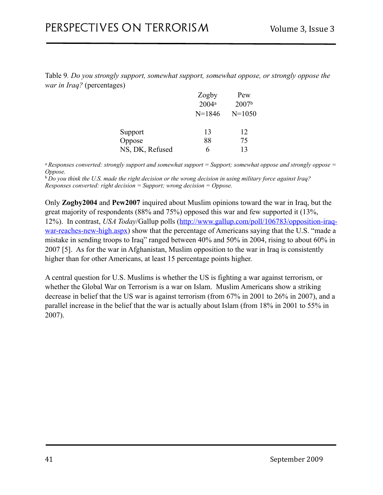Table 9*. Do you strongly support, somewhat support, somewhat oppose, or strongly oppose the war in Iraq?* (percentages)

|                 | Zogby      | Pew               |
|-----------------|------------|-------------------|
|                 | $2004^a$   | 2007 <sup>b</sup> |
|                 | $N = 1846$ | $N = 1050$        |
| Support         | 13         | 12                |
| Oppose          | 88         | 75                |
| NS, DK, Refused | 6          | 13                |

*a Responses converted: strongly support and somewhat support = Support; somewhat oppose and strongly oppose = Oppose.*

<sup>b</sup>*Do you think the U.S. made the right decision or the wrong decision in using military force against Iraq? Responses converted: right decision = Support; wrong decision = Oppose.*

Only **Zogby2004** and **Pew2007** inquired about Muslim opinions toward the war in Iraq, but the great majority of respondents (88% and 75%) opposed this war and few supported it (13%, 12%). In contrast, *USA Today*/Gallup polls ([http://www.gallup.com/poll/106783/opposition-iraq](http://www.gallup.com/poll/106783/opposition-iraq-war-reaches-new-high.aspx)[war-reaches-new-high.aspx](http://www.gallup.com/poll/106783/opposition-iraq-war-reaches-new-high.aspx)) show that the percentage of Americans saying that the U.S. "made a mistake in sending troops to Iraq" ranged between 40% and 50% in 2004, rising to about 60% in 2007 [5]. As for the war in Afghanistan, Muslim opposition to the war in Iraq is consistently higher than for other Americans, at least 15 percentage points higher.

A central question for U.S. Muslims is whether the US is fighting a war against terrorism, or whether the Global War on Terrorism is a war on Islam. Muslim Americans show a striking decrease in belief that the US war is against terrorism (from 67% in 2001 to 26% in 2007), and a parallel increase in the belief that the war is actually about Islam (from 18% in 2001 to 55% in 2007).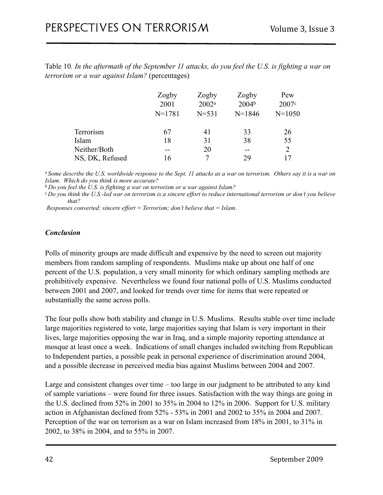Table 10*. In the aftermath of the September 11 attacks, do you feel the U.S. is fighting a war on terrorism or a war against Islam?* (percentages)

|                 | Zogby      | Zogby     | Zogby             | Pew        |
|-----------------|------------|-----------|-------------------|------------|
|                 | 2001       | $2002^a$  | 2004 <sup>b</sup> | 2007c      |
|                 | $N = 1781$ | $N = 531$ | $N=1846$          | $N = 1050$ |
| Terrorism       | 67         | 41        | 33                | 26         |
| Islam           | 18         | 31        | 38                | 55         |
| Neither/Both    |            | 20        |                   | 2          |
| NS, DK, Refused | 16         |           | 29                |            |

<sup>a</sup>*Some describe the U.S. worldwide response to the Sept. 11 attacks as a war on terrorism. Others say it is a war on Islam. Which do you think is more accurate?*

<sup>b</sup>*Do you feel the U.S. is fighting a war on terrorism or a war against Islam?*

<sup>c</sup>*Do you think the U.S.-led war on terrorism is a sincere effort to reduce international terrorism or don't you believe that?* 

 *Responses converted: sincere effort = Terrorism; don't believe that = Islam*.

#### *Conclusion*

Polls of minority groups are made difficult and expensive by the need to screen out majority members from random sampling of respondents. Muslims make up about one half of one percent of the U.S. population, a very small minority for which ordinary sampling methods are prohibitively expensive. Nevertheless we found four national polls of U.S. Muslims conducted between 2001 and 2007, and looked for trends over time for items that were repeated or substantially the same across polls.

The four polls show both stability and change in U.S. Muslims. Results stable over time include large majorities registered to vote, large majorities saying that Islam is very important in their lives, large majorities opposing the war in Iraq, and a simple majority reporting attendance at mosque at least once a week. Indications of small changes included switching from Republican to Independent parties, a possible peak in personal experience of discrimination around 2004, and a possible decrease in perceived media bias against Muslims between 2004 and 2007.

Large and consistent changes over time – too large in our judgment to be attributed to any kind of sample variations – were found for three issues. Satisfaction with the way things are going in the U.S. declined from 52% in 2001 to 35% in 2004 to 12% in 2006. Support for U.S. military action in Afghanistan declined from 52% - 53% in 2001 and 2002 to 35% in 2004 and 2007. Perception of the war on terrorism as a war on Islam increased from 18% in 2001, to 31% in 2002, to 38% in 2004, and to 55% in 2007.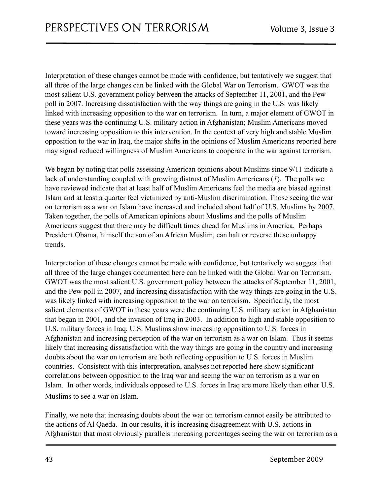Interpretation of these changes cannot be made with confidence, but tentatively we suggest that all three of the large changes can be linked with the Global War on Terrorism. GWOT was the most salient U.S. government policy between the attacks of September 11, 2001, and the Pew poll in 2007. Increasing dissatisfaction with the way things are going in the U.S. was likely linked with increasing opposition to the war on terrorism. In turn, a major element of GWOT in these years was the continuing U.S. military action in Afghanistan; Muslim Americans moved toward increasing opposition to this intervention. In the context of very high and stable Muslim opposition to the war in Iraq, the major shifts in the opinions of Muslim Americans reported here may signal reduced willingness of Muslim Americans to cooperate in the war against terrorism.

We began by noting that polls assessing American opinions about Muslims since 9/11 indicate a lack of understanding coupled with growing distrust of Muslim Americans (*1*). The polls we have reviewed indicate that at least half of Muslim Americans feel the media are biased against Islam and at least a quarter feel victimized by anti-Muslim discrimination. Those seeing the war on terrorism as a war on Islam have increased and included about half of U.S. Muslims by 2007. Taken together, the polls of American opinions about Muslims and the polls of Muslim Americans suggest that there may be difficult times ahead for Muslims in America. Perhaps President Obama, himself the son of an African Muslim, can halt or reverse these unhappy trends.

Interpretation of these changes cannot be made with confidence, but tentatively we suggest that all three of the large changes documented here can be linked with the Global War on Terrorism. GWOT was the most salient U.S. government policy between the attacks of September 11, 2001, and the Pew poll in 2007, and increasing dissatisfaction with the way things are going in the U.S. was likely linked with increasing opposition to the war on terrorism. Specifically, the most salient elements of GWOT in these years were the continuing U.S. military action in Afghanistan that began in 2001, and the invasion of Iraq in 2003. In addition to high and stable opposition to U.S. military forces in Iraq, U.S. Muslims show increasing opposition to U.S. forces in Afghanistan and increasing perception of the war on terrorism as a war on Islam. Thus it seems likely that increasing dissatisfaction with the way things are going in the country and increasing doubts about the war on terrorism are both reflecting opposition to U.S. forces in Muslim countries. Consistent with this interpretation, analyses not reported here show significant correlations between opposition to the Iraq war and seeing the war on terrorism as a war on Islam. In other words, individuals opposed to U.S. forces in Iraq are more likely than other U.S. Muslims to see a war on Islam.

Finally, we note that increasing doubts about the war on terrorism cannot easily be attributed to the actions of Al Qaeda. In our results, it is increasing disagreement with U.S. actions in Afghanistan that most obviously parallels increasing percentages seeing the war on terrorism as a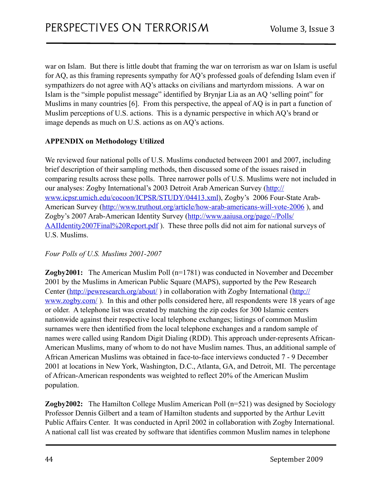war on Islam. But there is little doubt that framing the war on terrorism as war on Islam is useful for AQ, as this framing represents sympathy for AQ's professed goals of defending Islam even if sympathizers do not agree with AQ's attacks on civilians and martyrdom missions. A war on Islam is the "simple populist message" identified by Brynjar Lia as an AQ 'selling point" for Muslims in many countries [6]. From this perspective, the appeal of AQ is in part a function of Muslim perceptions of U.S. actions. This is a dynamic perspective in which AQ's brand or image depends as much on U.S. actions as on AQ's actions.

#### **APPENDIX on Methodology Utilized**

We reviewed four national polls of U.S. Muslims conducted between 2001 and 2007, including brief description of their sampling methods, then discussed some of the issues raised in comparing results across these polls. Three narrower polls of U.S. Muslims were not included in our analyses: Zogby International's 2003 Detroit Arab American Survey ([http://](http://www.icpsr.umich.edu/cocoon/ICPSR/STUDY/04413.xml) [www.icpsr.umich.edu/cocoon/ICPSR/STUDY/04413.xml](http://www.icpsr.umich.edu/cocoon/ICPSR/STUDY/04413.xml)), Zogby's 2006 Four-State Arab-American Survey [\(http://www.truthout.org/article/how-arab-americans-will-vote-2006](http://www.truthout.org/article/how-arab-americans-will-vote-2006) ), and Zogby's 2007 Arab-American Identity Survey [\(http://www.aaiusa.org/page/-/Polls/](http://www.aaiusa.org/page/-/Polls/AAIIdentity2007Final%20Report.pdf) [AAIIdentity2007Final%20Report.pdf](http://www.aaiusa.org/page/-/Polls/AAIIdentity2007Final%20Report.pdf) ). These three polls did not aim for national surveys of U.S. Muslims.

#### *Four Polls of U.S. Muslims 2001-2007*

**Zogby2001:** The American Muslim Poll (n=1781) was conducted in November and December 2001 by the Muslims in American Public Square (MAPS), supported by the Pew Research Center [\(http://](http://www.zogby.com/)pewresearch.org/about/) in collaboration with Zogby International (http:// [www.zogby.com/](http://www.zogby.com/) ). In this and other polls considered here, all respondents were 18 years of age or older. A telephone list was created by matching the zip codes for 300 Islamic centers nationwide against their respective local telephone exchanges; listings of common Muslim surnames were then identified from the local telephone exchanges and a random sample of names were called using Random Digit Dialing (RDD). This approach under-represents African-American Muslims, many of whom to do not have Muslim names. Thus, an additional sample of African American Muslims was obtained in face-to-face interviews conducted 7 - 9 December 2001 at locations in New York, Washington, D.C., Atlanta, GA, and Detroit, MI. The percentage of African-American respondents was weighted to reflect 20% of the American Muslim population.

**Zogby2002:** The Hamilton College Muslim American Poll (n=521) was designed by Sociology Professor Dennis Gilbert and a team of Hamilton students and supported by the Arthur Levitt Public Affairs Center. It was conducted in April 2002 in collaboration with Zogby International. A national call list was created by software that identifies common Muslim names in telephone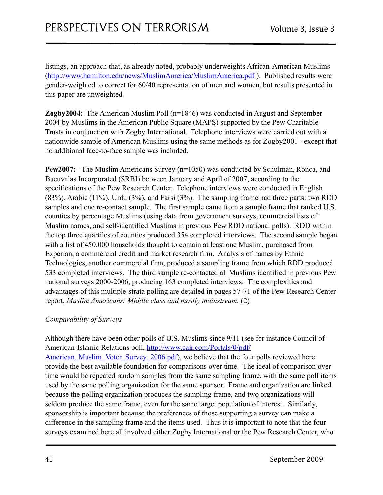listings, an approach that, as already noted, probably underweights African-American Muslims (<http://www.hamilton.edu/news/MuslimAmerica/MuslimAmerica.pdf>). Published results were gender-weighted to correct for 60/40 representation of men and women, but results presented in this paper are unweighted.

**Zogby2004:** The American Muslim Poll (n=1846) was conducted in August and September 2004 by Muslims in the American Public Square (MAPS) supported by the Pew Charitable Trusts in conjunction with Zogby International. Telephone interviews were carried out with a nationwide sample of American Muslims using the same methods as for Zogby2001 - except that no additional face-to-face sample was included.

**Pew2007:** The Muslim Americans Survey (n=1050) was conducted by Schulman, Ronca, and Bucuvalas Incorporated (SRBI) between January and April of 2007, according to the specifications of the Pew Research Center. Telephone interviews were conducted in English (83%), Arabic (11%), Urdu (3%), and Farsi (3%). The sampling frame had three parts: two RDD samples and one re-contact sample. The first sample came from a sample frame that ranked U.S. counties by percentage Muslims (using data from government surveys, commercial lists of Muslim names, and self-identified Muslims in previous Pew RDD national polls). RDD within the top three quartiles of counties produced 354 completed interviews. The second sample began with a list of 450,000 households thought to contain at least one Muslim, purchased from Experian, a commercial credit and market research firm. Analysis of names by Ethnic Technologies, another commercial firm, produced a sampling frame from which RDD produced 533 completed interviews. The third sample re-contacted all Muslims identified in previous Pew national surveys 2000-2006, producing 163 completed interviews. The complexities and advantages of this multiple-strata polling are detailed in pages 57-71 of the Pew Research Center report, *Muslim Americans: Middle class and mostly mainstream.* (2)

#### *Comparability of Surveys*

Although there have been other polls of U.S. Muslims since 9/11 (see for instance Council of American-Islamic Relations poll, [http://www.cair.com/Portals/0/pdf/](http://www.cair.com/Portals/0/pdf/American_Muslim_Voter_Survey_2006.pdf) American Muslim Voter Survey 2006.pdf), we believe that the four polls reviewed here provide the best available foundation for comparisons over time. The ideal of comparison over time would be repeated random samples from the same sampling frame, with the same poll items used by the same polling organization for the same sponsor. Frame and organization are linked because the polling organization produces the sampling frame, and two organizations will seldom produce the same frame, even for the same target population of interest. Similarly, sponsorship is important because the preferences of those supporting a survey can make a difference in the sampling frame and the items used. Thus it is important to note that the four surveys examined here all involved either Zogby International or the Pew Research Center, who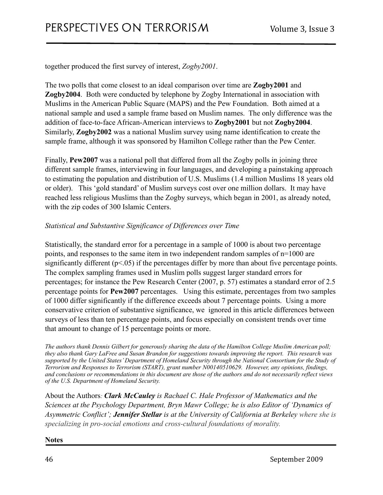together produced the first survey of interest, *Zogby2001*.

The two polls that come closest to an ideal comparison over time are **Zogby2001** and **Zogby2004**. Both were conducted by telephone by Zogby International in association with Muslims in the American Public Square (MAPS) and the Pew Foundation. Both aimed at a national sample and used a sample frame based on Muslim names. The only difference was the addition of face-to-face African-American interviews to **Zogby2001** but not **Zogby2004**. Similarly, **Zogby2002** was a national Muslim survey using name identification to create the sample frame, although it was sponsored by Hamilton College rather than the Pew Center.

Finally, **Pew2007** was a national poll that differed from all the Zogby polls in joining three different sample frames, interviewing in four languages, and developing a painstaking approach to estimating the population and distribution of U.S. Muslims (1.4 million Muslims 18 years old or older). This 'gold standard' of Muslim surveys cost over one million dollars. It may have reached less religious Muslims than the Zogby surveys, which began in 2001, as already noted, with the zip codes of 300 Islamic Centers.

#### *Statistical and Substantive Significance of Differences over Time*

Statistically, the standard error for a percentage in a sample of 1000 is about two percentage points, and responses to the same item in two independent random samples of n=1000 are significantly different ( $p<0.05$ ) if the percentages differ by more than about five percentage points. The complex sampling frames used in Muslim polls suggest larger standard errors for percentages; for instance the Pew Research Center (2007, p. 57) estimates a standard error of 2.5 percentage points for **Pew2007** percentages. Using this estimate, percentages from two samples of 1000 differ significantly if the difference exceeds about 7 percentage points. Using a more conservative criterion of substantive significance, we ignored in this article differences between surveys of less than ten percentage points, and focus especially on consistent trends over time that amount to change of 15 percentage points or more.

*The authors thank Dennis Gilbert for generously sharing the data of the Hamilton College Muslim American poll; they also thank Gary LaFree and Susan Brandon for suggestions towards improving the report. This research was supported by the United States' Department of Homeland Security through the National Consortium for the Study of Terrorism and Responses to Terrorism (START), grant number N00140510629. However, any opinions, findings, and conclusions or recommendations in this document are those of the authors and do not necessarily reflect views of the U.S. Department of Homeland Security.* 

About the Authors*: Clark McCauley is Rachael C. Hale Professor of Mathematics and the Sciences at the Psychology Department, Bryn Mawr College; he is also Editor of 'Dynamics of Asymmetric Conflict'; Jennifer Stellar is at the University of California at Berkeley where she is specializing in pro-social emotions and cross-cultural foundations of morality.* 

**Notes**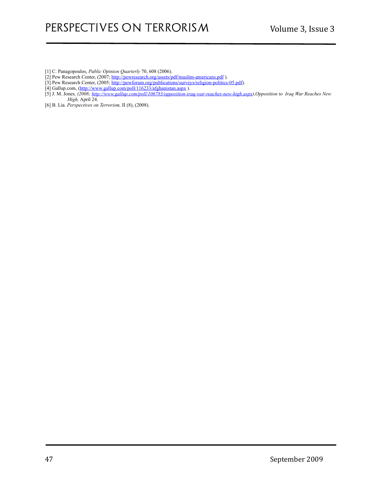- [1] C. Panagopoulos, *Public Opinion Quarterly* 70, 608 (2006).
- [2] Pew Research Center, (2007; http://pewresearch.org/assets/pdf/muslim-americans.pdf).
- [3] Pew Research Center, (2005;<http://pewforum.org/publications/surveys/religion-politics-05.pdf>).
- [4] Gallup.com, (http://www.gallup.com/poll/116233/afghanistan.aspx).
- [5] J. M. Jones*, (2008; [http://www.gallup.com/poll/106783/opposition-iraq-war-reaches-new-high.aspx\)](http://www.gallup.com/poll/106783/opposition-iraq-war-reaches-new-high.aspx),Opposition to Iraq War Reaches New High,* April 24.
- [6] B. Lia*. Perspectives on Terrorism,* II (8), (2008).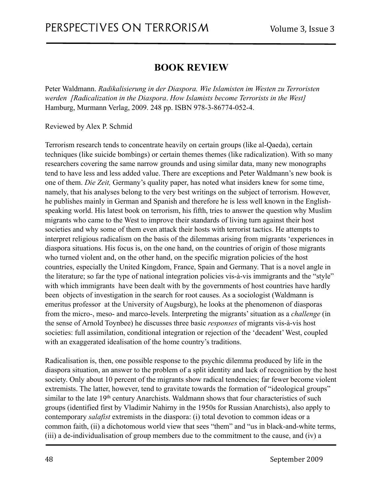# <span id="page-47-0"></span>**BOOK REVIEW**

<span id="page-47-1"></span>Peter Waldmann. *Radikalisierung in der Diaspora. Wie Islamisten im Westen zu Terroristen werden [Radicalization in the Diaspora*. *How Islamists become Terrorists in the West]* Hamburg, Murmann Verlag, 2009. 248 pp. ISBN 978-3-86774-052-4.

<span id="page-47-2"></span>Reviewed by Alex P. Schmid

Terrorism research tends to concentrate heavily on certain groups (like al-Qaeda), certain techniques (like suicide bombings) or certain themes themes (like radicalization). With so many researchers covering the same narrow grounds and using similar data, many new monographs tend to have less and less added value. There are exceptions and Peter Waldmann's new book is one of them. *Die Zeit,* Germany's quality paper, has noted what insiders knew for some time, namely, that his analyses belong to the very best writings on the subject of terrorism. However, he publishes mainly in German and Spanish and therefore he is less well known in the Englishspeaking world. His latest book on terrorism, his fifth, tries to answer the question why Muslim migrants who came to the West to improve their standards of living turn against their host societies and why some of them even attack their hosts with terrorist tactics. He attempts to interpret religious radicalism on the basis of the dilemmas arising from migrants 'experiences in diaspora situations. His focus is, on the one hand, on the countries of origin of those migrants who turned violent and, on the other hand, on the specific migration policies of the host countries, especially the United Kingdom, France, Spain and Germany. That is a novel angle in the literature; so far the type of national integration policies vis-à-vis immigrants and the "style" with which immigrants have been dealt with by the governments of host countries have hardly been objects of investigation in the search for root causes. As a sociologist (Waldmann is emeritus professor at the University of Augsburg), he looks at the phenomenon of diasporas from the micro-, meso- and marco-levels. Interpreting the migrants' situation as a *challenge* (in the sense of Arnold Toynbee) he discusses three basic *responses* of migrants vis-à-vis host societies: full assimilation, conditional integration or rejection of the 'decadent' West, coupled with an exaggerated idealisation of the home country's traditions.

Radicalisation is, then, one possible response to the psychic dilemma produced by life in the diaspora situation, an answer to the problem of a split identity and lack of recognition by the host society. Only about 10 percent of the migrants show radical tendencies; far fewer become violent extremists. The latter, however, tend to gravitate towards the formation of "ideological groups" similar to the late 19<sup>th</sup> century Anarchists. Waldmann shows that four characteristics of such groups (identified first by Vladimir Nahirny in the 1950s for Russian Anarchists), also apply to contemporary *salafist* extremists in the diaspora: (i) total devotion to common ideas or a common faith, (ii) a dichotomous world view that sees "them" and "us in black-and-white terms, (iii) a de-individualisation of group members due to the commitment to the cause, and (iv) a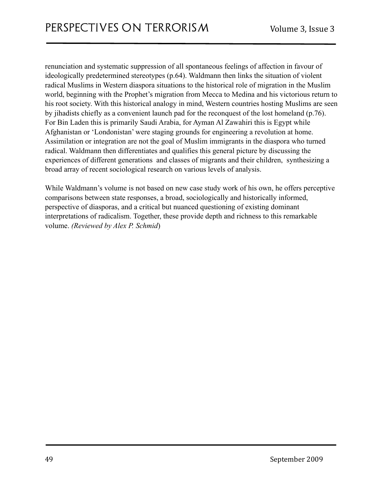renunciation and systematic suppression of all spontaneous feelings of affection in favour of ideologically predetermined stereotypes (p.64). Waldmann then links the situation of violent radical Muslims in Western diaspora situations to the historical role of migration in the Muslim world, beginning with the Prophet's migration from Mecca to Medina and his victorious return to his root society. With this historical analogy in mind, Western countries hosting Muslims are seen by jihadists chiefly as a convenient launch pad for the reconquest of the lost homeland (p.76). For Bin Laden this is primarily Saudi Arabia, for Ayman Al Zawahiri this is Egypt while Afghanistan or 'Londonistan' were staging grounds for engineering a revolution at home. Assimilation or integration are not the goal of Muslim immigrants in the diaspora who turned radical. Waldmann then differentiates and qualifies this general picture by discussing the experiences of different generations and classes of migrants and their children, synthesizing a broad array of recent sociological research on various levels of analysis.

While Waldmann's volume is not based on new case study work of his own, he offers perceptive comparisons between state responses, a broad, sociologically and historically informed, perspective of diasporas, and a critical but nuanced questioning of existing dominant interpretations of radicalism. Together, these provide depth and richness to this remarkable volume. *(Reviewed by Alex P. Schmid*)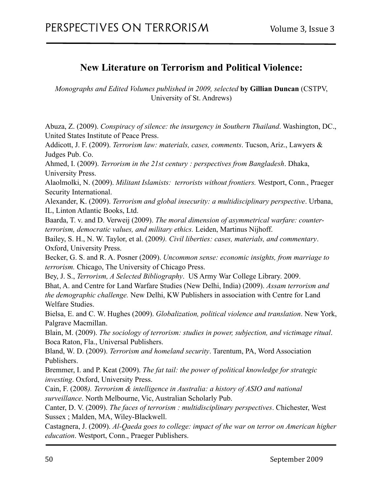### <span id="page-49-0"></span>**New Literature on Terrorism and Political Violence:**

<span id="page-49-1"></span>*Monographs and Edited Volumes published in 2009, selected* **by Gillian Duncan** (CSTPV, University of St. Andrews)

Abuza, Z. (2009). *Conspiracy of silence: the insurgency in Southern Thailand*. Washington, DC., United States Institute of Peace Press.

Addicott, J. F. (2009). *Terrorism law: materials, cases, comments*. Tucson, Ariz., Lawyers & Judges Pub. Co.

Ahmed, I. (2009). *Terrorism in the 21st century : perspectives from Bangladesh*. Dhaka, University Press.

Alaolmolki, N. (2009). *Militant Islamists: terrorists without frontiers.* Westport, Conn., Praeger Security International.

Alexander, K. (2009). *Terrorism and global insecurity: a multidisciplinary perspective*. Urbana, IL, Linton Atlantic Books, Ltd.

Baarda, T. v. and D. Verweij (2009). *The moral dimension of asymmetrical warfare: counterterrorism, democratic values, and military ethics.* Leiden, Martinus Nijhoff.

Bailey, S. H., N. W. Taylor, et al. (2009*). Civil liberties: cases, materials, and commentary*. Oxford, University Press.

Becker, G. S. and R. A. Posner (2009). *Uncommon sense: economic insights, from marriage to terrorism.* Chicago, The University of Chicago Press.

Bey, J. S., *Terrorism, A Selected Bibliography*. US Army War College Library. 2009. Bhat, A. and Centre for Land Warfare Studies (New Delhi, India) (2009). *Assam terrorism and the demographic challenge.* New Delhi, KW Publishers in association with Centre for Land Welfare Studies.

Bielsa, E. and C. W. Hughes (2009). *Globalization, political violence and translation*. New York, Palgrave Macmillan.

Blain, M. (2009). *The sociology of terrorism: studies in power, subjection, and victimage ritual*. Boca Raton, Fla., Universal Publishers.

Bland, W. D. (2009). *Terrorism and homeland security*. Tarentum, PA, Word Association Publishers.

Bremmer, I. and P. Keat (2009). *The fat tail: the power of political knowledge for strategic investing*. Oxford, University Press.

Cain, F. (2008*). Terrorism & intelligence in Australia: a history of ASIO and national surveillance*. North Melbourne, Vic, Australian Scholarly Pub.

Canter, D. V. (2009). *The faces of terrorism : multidisciplinary perspectives*. Chichester, West Sussex ; Malden, MA, Wiley-Blackwell.

Castagnera, J. (2009). *Al-Qaeda goes to college: impact of the war on terror on American higher education*. Westport, Conn., Praeger Publishers.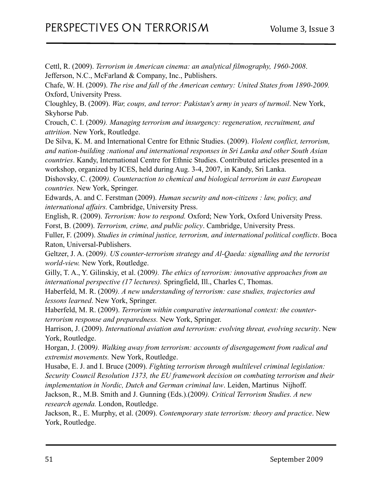Cettl, R. (2009). *Terrorism in American cinema: an analytical filmography, 1960-2008*. Jefferson, N.C., McFarland & Company, Inc., Publishers.

Chafe, W. H. (2009). *The rise and fall of the American century: United States from 1890-2009.* Oxford, University Press.

Cloughley, B. (2009). *War, coups, and terror: Pakistan's army in years of turmoil*. New York, Skyhorse Pub.

Crouch, C. I. (2009*). Managing terrorism and insurgency: regeneration, recruitment, and attrition*. New York, Routledge.

De Silva, K. M. and International Centre for Ethnic Studies. (2009). *Violent conflict, terrorism, and nation-building :national and international responses in Sri Lanka and other South Asian countries*. Kandy, International Centre for Ethnic Studies. Contributed articles presented in a workshop, organized by ICES, held during Aug. 3-4, 2007, in Kandy, Sri Lanka.

Dishovsky, C. (2009*). Counteraction to chemical and biological terrorism in east European countries.* New York, Springer.

Edwards, A. and C. Ferstman (2009). *Human security and non-citizens : law, policy, and international affairs.* Cambridge, University Press.

English, R. (2009). *Terrorism: how to respond.* Oxford; New York, Oxford University Press. Forst, B. (2009). *Terrorism, crime, and public policy*. Cambridge, University Press.

Fuller, F. (2009). *Studies in criminal justice, terrorism, and international political conflicts*. Boca Raton, Universal-Publishers.

Geltzer, J. A. (2009*). US counter-terrorism strategy and Al-Qaeda: signalling and the terrorist world-view.* New York, Routledge.

Gilly, T. A., Y. Gilinskiy, et al. (2009*). The ethics of terrorism: innovative approaches from an international perspective (17 lectures).* Springfield, Ill., Charles C, Thomas.

Haberfeld, M. R. (2009*). A new understanding of terrorism: case studies, trajectories and lessons learned*. New York, Springer.

Haberfeld, M. R. (2009). *Terrorism within comparative international context: the counterterrorism response and preparedness.* New York, Springer.

Harrison, J. (2009). *International aviation and terrorism: evolving threat, evolving security*. New York, Routledge.

Horgan, J. (2009*). Walking away from terrorism: accounts of disengagement from radical and extremist movements.* New York, Routledge.

Husabø, E. J. and I. Bruce (2009). *Fighting terrorism through multilevel criminal legislation: Security Council Resolution 1373, the EU framework decision on combating terrorism and their implementation in Nordic, Dutch and German criminal law*. Leiden, Martinus Nijhoff.

Jackson, R., M.B. Smith and J. Gunning (Eds.).(2009*). Critical Terrorism Studies. A new research agenda.* London, Routledge.

Jackson, R., E. Murphy, et al. (2009). *Contemporary state terrorism: theory and practice*. New York, Routledge.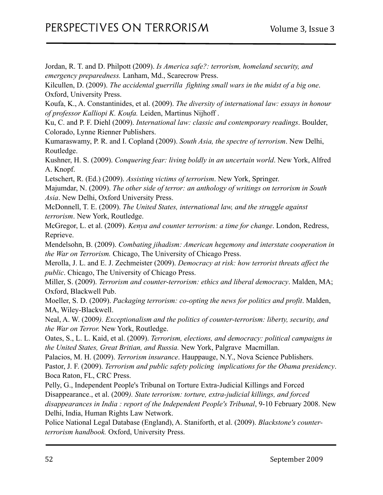Jordan, R. T. and D. Philpott (2009). *Is America safe?: terrorism, homeland security, and emergency preparedness.* Lanham, Md., Scarecrow Press.

Kilcullen, D. (2009). *The accidental guerrilla fighting small wars in the midst of a big one*. Oxford, University Press.

Koufa, K., A. Constantinides, et al. (2009). *The diversity of international law: essays in honour of professor Kalliopi K. Koufa.* Leiden, Martinus Nijhoff .

Ku, C. and P. F. Diehl (2009). *International law: classic and contemporary readings*. Boulder, Colorado, Lynne Rienner Publishers.

Kumaraswamy, P. R. and I. Copland (2009). *South Asia, the spectre of terrorism*. New Delhi, Routledge.

Kushner, H. S. (2009). *Conquering fear: living boldly in an uncertain world*. New York, Alfred A. Knopf.

Letschert, R. (Ed.) (2009). *Assisting victims of terrorism*. New York, Springer.

Majumdar, N. (2009). *The other side of terror: an anthology of writings on terrorism in South Asia*. New Delhi, Oxford University Press.

McDonnell, T. E. (2009). *The United States, international law, and the struggle against terrorism*. New York, Routledge.

McGregor, L. et al. (2009). *Kenya and counter terrorism: a time for change*. London, Redress, Reprieve.

Mendelsohn, B. (2009). *Combating jihadism: American hegemony and interstate cooperation in the War on Terrorism.* Chicago, The University of Chicago Press.

Merolla, J. L. and E. J. Zechmeister (2009). *Democracy at risk: how terrorist threats affect the public*. Chicago, The University of Chicago Press.

Miller, S. (2009). *Terrorism and counter-terrorism: ethics and liberal democracy*. Malden, MA; Oxford, Blackwell Pub.

Moeller, S. D. (2009). *Packaging terrorism: co-opting the news for politics and profit*. Malden, MA, Wiley-Blackwell.

Neal, A. W. (2009*). Exceptionalism and the politics of counter-terrorism: liberty, security, and the War on Terror.* New York, Routledge.

Oates, S., L. L. Kaid, et al. (2009). *Terrorism, elections, and democracy: political campaigns in the United States, Great Britian, and Russia.* New York, Palgrave Macmillan.

Palacios, M. H. (2009). *Terrorism insurance*. Hauppauge, N.Y., Nova Science Publishers.

Pastor, J. F. (2009). *Terrorism and public safety policing implications for the Obama presidency*. Boca Raton, FL, CRC Press.

Pelly, G., Independent People's Tribunal on Torture Extra-Judicial Killings and Forced Disappearance., et al. (2009*). State terrorism: torture, extra-judicial killings, and forced disappearances in India : report of the Independent People's Tribunal*, 9-10 February 2008. New Delhi, India, Human Rights Law Network.

Police National Legal Database (England), A. Staniforth, et al. (2009). *Blackstone's counterterrorism handbook.* Oxford, University Press.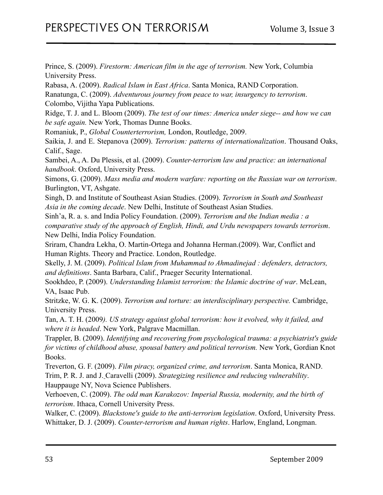Prince, S. (2009). *Firestorm: American film in the age of terrorism.* New York, Columbia University Press.

Rabasa, A. (2009). *Radical Islam in East Africa*. Santa Monica, RAND Corporation.

Ranatunga, C. (2009). *Adventurous journey from peace to war, insurgency to terrorism*. Colombo, Vijitha Yapa Publications.

Ridge, T. J. and L. Bloom (2009). *The test of our times: America under siege-- and how we can be safe again.* New York, Thomas Dunne Books.

Romaniuk, P., *Global Counterterrorism,* London, Routledge, 2009.

Saikia, J. and E. Stepanova (2009). *Terrorism: patterns of internationalization*. Thousand Oaks, Calif., Sage.

Sambei, A., A. Du Plessis, et al. (2009). *Counter-terrorism law and practice: an international handbook*. Oxford, University Press.

Simons, G. (2009). *Mass media and modern warfare: reporting on the Russian war on terrorism*. Burlington, VT, Ashgate.

Singh, D. and Institute of Southeast Asian Studies. (2009). *Terrorism in South and Southeast Asia in the coming decade*. New Delhi, Institute of Southeast Asian Studies.

Sinh'a, R. a. s. and India Policy Foundation. (2009). *Terrorism and the Indian media : a comparative study of the approach of English, Hindi, and Urdu newspapers towards terrorism*. New Delhi, India Policy Foundation.

Sriram, Chandra Lekha, O. Martin-Ortega and Johanna Herman.(2009). War, Conflict and Human Rights. Theory and Practice. London, Routledge.

Skelly, J. M. (2009). *Political Islam from Muhammad to Ahmadinejad : defenders, detractors, and definitions*. Santa Barbara, Calif., Praeger Security International.

Sookhdeo, P. (2009). *Understanding Islamist terrorism: the Islamic doctrine of war*. McLean, VA, Isaac Pub.

Stritzke, W. G. K. (2009). *Terrorism and torture: an interdisciplinary perspective.* Cambridge, University Press.

Tan, A. T. H. (2009*). US strategy against global terrorism: how it evolved, why it failed, and where it is headed*. New York, Palgrave Macmillan.

Trappler, B. (2009). *Identifying and recovering from psychological trauma: a psychiatrist's guide for victims of childhood abuse, spousal battery and political terrorism.* New York, Gordian Knot Books.

Treverton, G. F. (2009). *Film piracy, organized crime, and terrorism*. Santa Monica, RAND. Trim, P. R. J. and J. Caravelli (2009). *Strategizing resilience and reducing vulnerability*. Hauppauge NY, Nova Science Publishers.

Verhoeven, C. (2009). *The odd man Karakozov: Imperial Russia, modernity, and the birth of terrorism*. Ithaca, Cornell University Press.

Walker, C. (2009). *Blackstone's guide to the anti-terrorism legislation*. Oxford, University Press. Whittaker, D. J. (2009). *Counter-terrorism and human rights*. Harlow, England, Longman.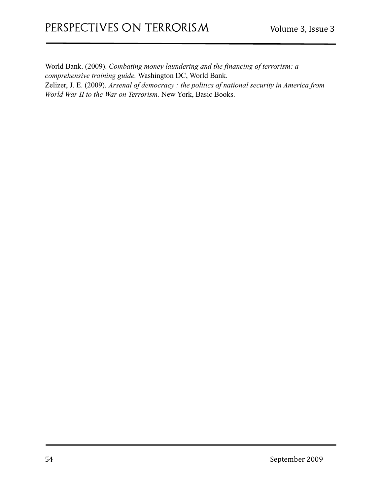World Bank. (2009). *Combating money laundering and the financing of terrorism: a comprehensive training guide.* Washington DC, World Bank. Zelizer, J. E. (2009). *Arsenal of democracy : the politics of national security in America from World War II to the War on Terrorism.* New York, Basic Books.